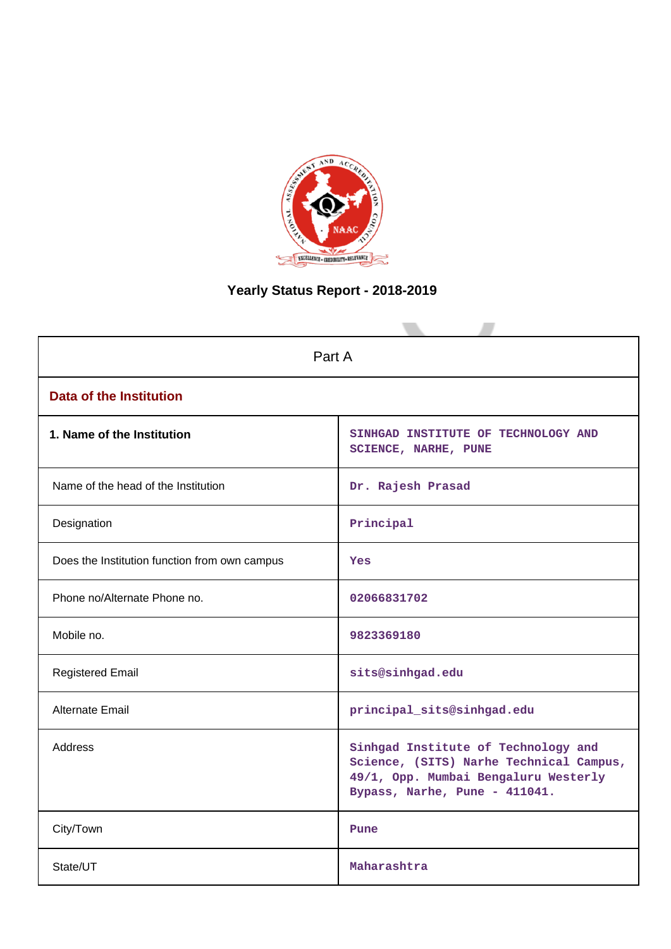

# **Yearly Status Report - 2018-2019**

| Part A                                        |                                                                                                                                                         |  |  |  |  |
|-----------------------------------------------|---------------------------------------------------------------------------------------------------------------------------------------------------------|--|--|--|--|
| Data of the Institution                       |                                                                                                                                                         |  |  |  |  |
| 1. Name of the Institution                    | SINHGAD INSTITUTE OF TECHNOLOGY AND<br>SCIENCE, NARHE, PUNE                                                                                             |  |  |  |  |
| Name of the head of the Institution           | Dr. Rajesh Prasad                                                                                                                                       |  |  |  |  |
| Designation                                   | Principal                                                                                                                                               |  |  |  |  |
| Does the Institution function from own campus | Yes                                                                                                                                                     |  |  |  |  |
| Phone no/Alternate Phone no.                  | 02066831702                                                                                                                                             |  |  |  |  |
| Mobile no.                                    | 9823369180                                                                                                                                              |  |  |  |  |
| <b>Registered Email</b>                       | sits@sinhgad.edu                                                                                                                                        |  |  |  |  |
| <b>Alternate Email</b>                        | principal_sits@sinhgad.edu                                                                                                                              |  |  |  |  |
| <b>Address</b>                                | Sinhgad Institute of Technology and<br>Science, (SITS) Narhe Technical Campus,<br>49/1, Opp. Mumbai Bengaluru Westerly<br>Bypass, Narhe, Pune - 411041. |  |  |  |  |
| City/Town                                     | Pune                                                                                                                                                    |  |  |  |  |
| State/UT                                      | Maharashtra                                                                                                                                             |  |  |  |  |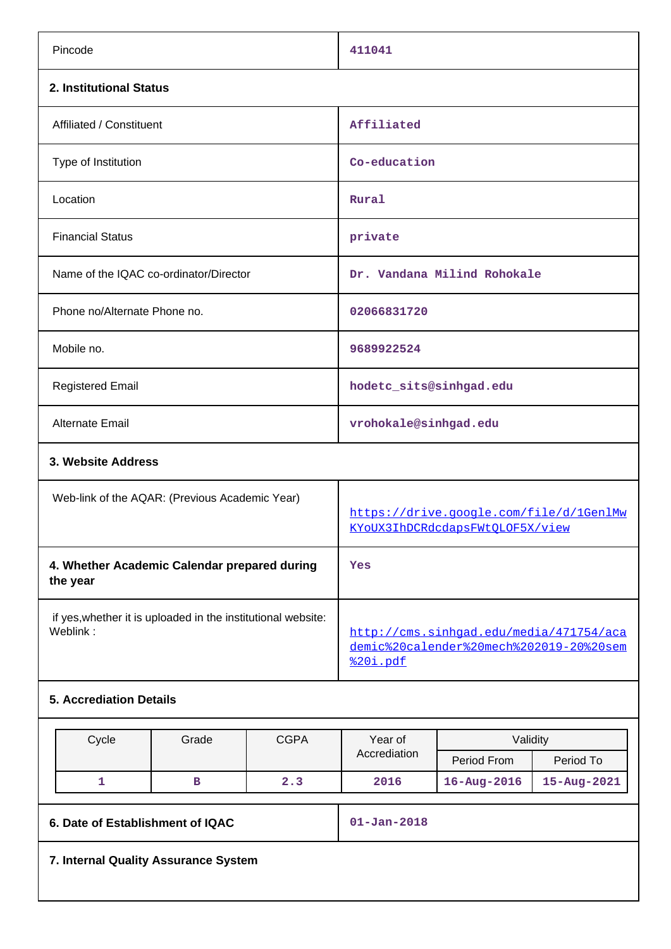|                                                                          | Pincode                                                  |                                                |                                                                                                | 411041                                                                     |                             |             |  |
|--------------------------------------------------------------------------|----------------------------------------------------------|------------------------------------------------|------------------------------------------------------------------------------------------------|----------------------------------------------------------------------------|-----------------------------|-------------|--|
|                                                                          | 2. Institutional Status                                  |                                                |                                                                                                |                                                                            |                             |             |  |
|                                                                          | Affiliated / Constituent                                 |                                                |                                                                                                | Affiliated                                                                 |                             |             |  |
|                                                                          | Type of Institution                                      |                                                |                                                                                                | Co-education                                                               |                             |             |  |
|                                                                          | Location                                                 |                                                |                                                                                                | Rural                                                                      |                             |             |  |
|                                                                          | <b>Financial Status</b>                                  |                                                |                                                                                                | private                                                                    |                             |             |  |
|                                                                          |                                                          | Name of the IQAC co-ordinator/Director         |                                                                                                |                                                                            | Dr. Vandana Milind Rohokale |             |  |
|                                                                          | Phone no/Alternate Phone no.                             |                                                |                                                                                                | 02066831720                                                                |                             |             |  |
|                                                                          | Mobile no.                                               |                                                |                                                                                                | 9689922524                                                                 |                             |             |  |
|                                                                          | <b>Registered Email</b>                                  |                                                |                                                                                                | hodetc_sits@sinhgad.edu                                                    |                             |             |  |
|                                                                          | Alternate Email                                          |                                                |                                                                                                | vrohokale@sinhgad.edu                                                      |                             |             |  |
|                                                                          | 3. Website Address                                       |                                                |                                                                                                |                                                                            |                             |             |  |
|                                                                          |                                                          | Web-link of the AQAR: (Previous Academic Year) |                                                                                                | https://drive.google.com/file/d/1GenlMw<br>KYoUX3IhDCRdcdapsFWtQLOF5X/view |                             |             |  |
|                                                                          | 4. Whether Academic Calendar prepared during<br>the year |                                                |                                                                                                | Yes                                                                        |                             |             |  |
| if yes, whether it is uploaded in the institutional website:<br>Weblink: |                                                          |                                                | http://cms.sinhqad.edu/media/471754/aca<br>demic%20calender%20mech%202019-20%20sem<br>%20i.pdf |                                                                            |                             |             |  |
|                                                                          | <b>5. Accrediation Details</b>                           |                                                |                                                                                                |                                                                            |                             |             |  |
|                                                                          |                                                          |                                                |                                                                                                |                                                                            |                             |             |  |
|                                                                          | Cycle                                                    | Grade                                          | <b>CGPA</b>                                                                                    | Year of<br>Accrediation                                                    | Validity                    |             |  |
|                                                                          |                                                          |                                                |                                                                                                |                                                                            | Period From                 | Period To   |  |
|                                                                          | $\mathbf{1}$                                             | $\, {\bf B}$                                   | 2.3                                                                                            | 2016                                                                       | $16 - Aug - 2016$           | 15-Aug-2021 |  |

**6. Date of Establishment of IQAC 01-Jan-2018**

**7. Internal Quality Assurance System**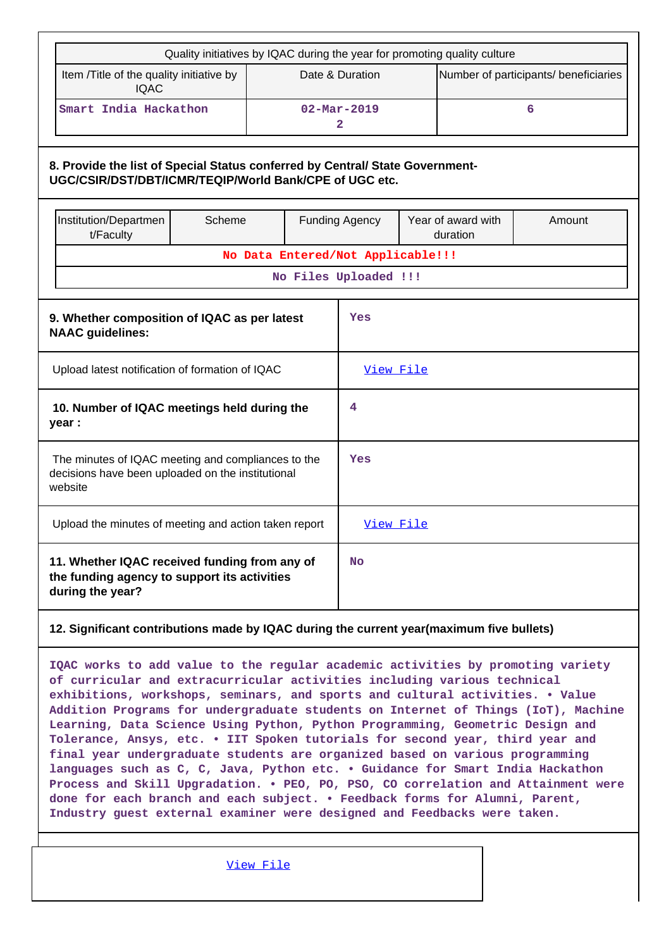| Quality initiatives by IQAC during the year for promoting quality culture                                                               |                                                 |  |                                   |  |                                          |   |  |
|-----------------------------------------------------------------------------------------------------------------------------------------|-------------------------------------------------|--|-----------------------------------|--|------------------------------------------|---|--|
| Item /Title of the quality initiative by<br><b>IQAC</b>                                                                                 |                                                 |  | Date & Duration                   |  | Number of participants/ beneficiaries    |   |  |
| Smart India Hackathon                                                                                                                   |                                                 |  | $02 - \text{Mar} - 2019$<br>2     |  |                                          | 6 |  |
| 8. Provide the list of Special Status conferred by Central/ State Government-<br>UGC/CSIR/DST/DBT/ICMR/TEQIP/World Bank/CPE of UGC etc. |                                                 |  |                                   |  |                                          |   |  |
| Institution/Departmen<br>t/Faculty                                                                                                      | Scheme                                          |  | <b>Funding Agency</b>             |  | Year of award with<br>Amount<br>duration |   |  |
|                                                                                                                                         |                                                 |  | No Data Entered/Not Applicable!!! |  |                                          |   |  |
|                                                                                                                                         |                                                 |  | No Files Uploaded !!!             |  |                                          |   |  |
| 9. Whether composition of IQAC as per latest<br><b>NAAC</b> guidelines:                                                                 | Yes                                             |  |                                   |  |                                          |   |  |
|                                                                                                                                         | Upload latest notification of formation of IQAC |  |                                   |  |                                          |   |  |
| 10. Number of IQAC meetings held during the<br>year :                                                                                   |                                                 |  | 4                                 |  |                                          |   |  |
| The minutes of IQAC meeting and compliances to the<br>decisions have been uploaded on the institutional<br>website                      |                                                 |  | Yes                               |  |                                          |   |  |
| Upload the minutes of meeting and action taken report                                                                                   |                                                 |  | <u>View File</u>                  |  |                                          |   |  |
| 11. Whether IQAC received funding from any of<br>the funding agency to support its activities<br>during the year?                       |                                                 |  | No                                |  |                                          |   |  |
| 12. Significant contributions made by IQAC during the current year(maximum five bullets)                                                |                                                 |  |                                   |  |                                          |   |  |

**IQAC works to add value to the regular academic activities by promoting variety of curricular and extracurricular activities including various technical exhibitions, workshops, seminars, and sports and cultural activities. • Value Addition Programs for undergraduate students on Internet of Things (IoT), Machine Learning, Data Science Using Python, Python Programming, Geometric Design and Tolerance, Ansys, etc. • IIT Spoken tutorials for second year, third year and final year undergraduate students are organized based on various programming languages such as C, C, Java, Python etc. • Guidance for Smart India Hackathon Process and Skill Upgradation. • PEO, PO, PSO, CO correlation and Attainment were done for each branch and each subject. • Feedback forms for Alumni, Parent, Industry guest external examiner were designed and Feedbacks were taken.**

[View File](https://assessmentonline.naac.gov.in/public/Postacc/Contribution/1287_Contribution.xlsx)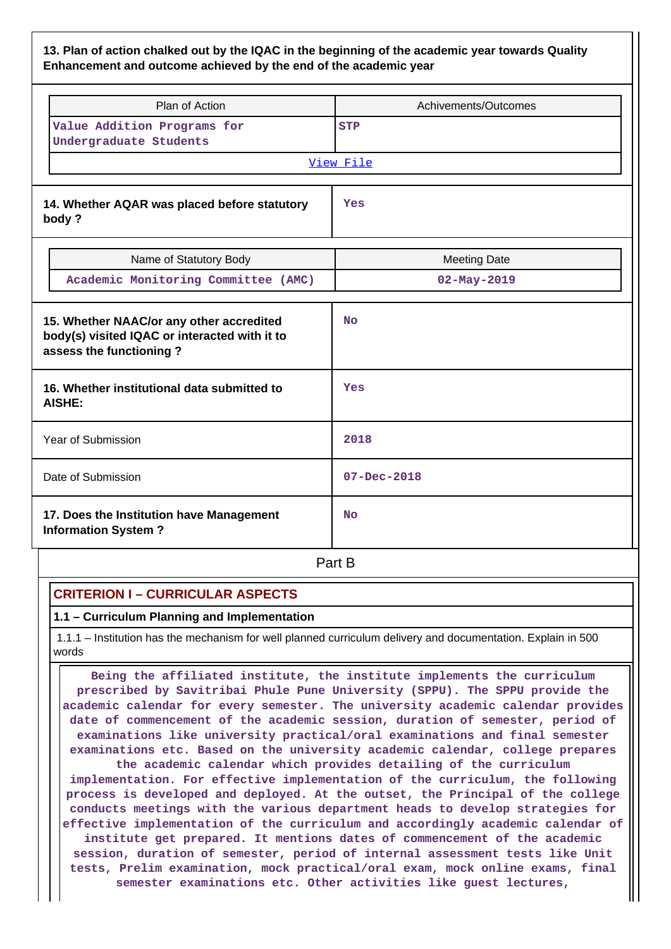### **13. Plan of action chalked out by the IQAC in the beginning of the academic year towards Quality Enhancement and outcome achieved by the end of the academic year**

|                            | Plan of Action                                                                            | Achivements/Outcomes |  |  |
|----------------------------|-------------------------------------------------------------------------------------------|----------------------|--|--|
|                            | Value Addition Programs for<br>Undergraduate Students                                     | <b>STP</b>           |  |  |
|                            |                                                                                           | View File            |  |  |
| body?                      | 14. Whether AQAR was placed before statutory                                              | Yes                  |  |  |
|                            | Name of Statutory Body                                                                    | <b>Meeting Date</b>  |  |  |
|                            | Academic Monitoring Committee (AMC)                                                       | $02 - May - 2019$    |  |  |
| assess the functioning?    | 15. Whether NAAC/or any other accredited<br>body(s) visited IQAC or interacted with it to | <b>No</b>            |  |  |
| AISHE:                     | 16. Whether institutional data submitted to                                               | Yes                  |  |  |
| Year of Submission         |                                                                                           | 2018                 |  |  |
| Date of Submission         |                                                                                           | $07 - Dec - 2018$    |  |  |
| <b>Information System?</b> | 17. Does the Institution have Management                                                  | <b>No</b>            |  |  |
|                            |                                                                                           | Part B               |  |  |

### **CRITERION I – CURRICULAR ASPECTS**

#### **1.1 – Curriculum Planning and Implementation**

 1.1.1 – Institution has the mechanism for well planned curriculum delivery and documentation. Explain in 500 words

 **Being the affiliated institute, the institute implements the curriculum prescribed by Savitribai Phule Pune University (SPPU). The SPPU provide the academic calendar for every semester. The university academic calendar provides date of commencement of the academic session, duration of semester, period of examinations like university practical/oral examinations and final semester examinations etc. Based on the university academic calendar, college prepares the academic calendar which provides detailing of the curriculum implementation. For effective implementation of the curriculum, the following process is developed and deployed. At the outset, the Principal of the college conducts meetings with the various department heads to develop strategies for effective implementation of the curriculum and accordingly academic calendar of institute get prepared. It mentions dates of commencement of the academic session, duration of semester, period of internal assessment tests like Unit tests, Prelim examination, mock practical/oral exam, mock online exams, final**

**semester examinations etc. Other activities like guest lectures,**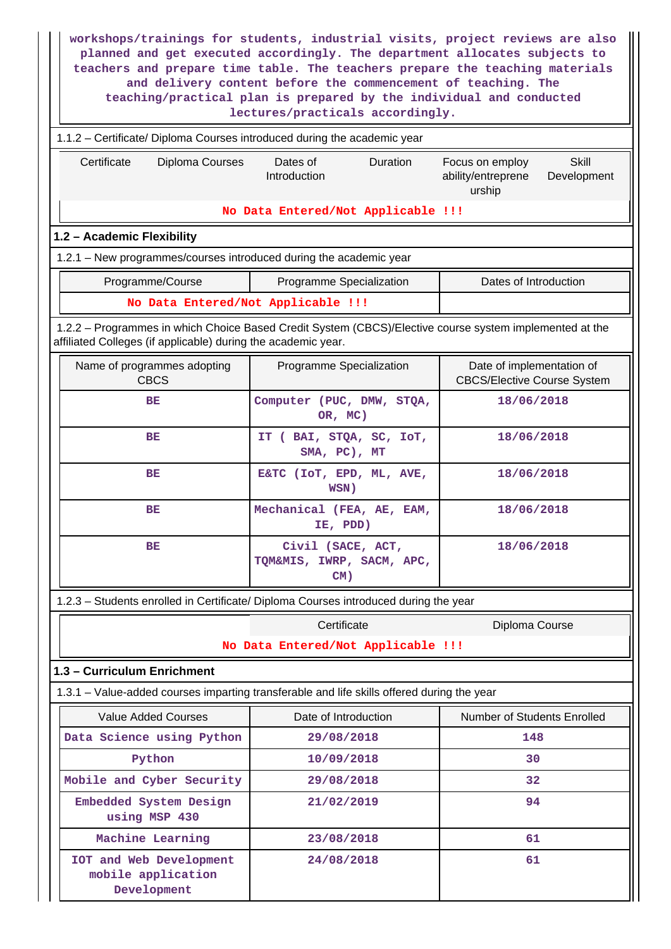| workshops/trainings for students, industrial visits, project reviews are also<br>planned and get executed accordingly. The department allocates subjects to<br>teachers and prepare time table. The teachers prepare the teaching materials<br>and delivery content before the commencement of teaching. The<br>teaching/practical plan is prepared by the individual and conducted<br>lectures/practicals accordingly. |                                                          |                                                                         |  |  |  |  |
|-------------------------------------------------------------------------------------------------------------------------------------------------------------------------------------------------------------------------------------------------------------------------------------------------------------------------------------------------------------------------------------------------------------------------|----------------------------------------------------------|-------------------------------------------------------------------------|--|--|--|--|
| 1.1.2 - Certificate/ Diploma Courses introduced during the academic year                                                                                                                                                                                                                                                                                                                                                |                                                          |                                                                         |  |  |  |  |
| Certificate<br>Diploma Courses                                                                                                                                                                                                                                                                                                                                                                                          | Dates of<br>Duration<br>Introduction                     | Focus on employ<br>Skill<br>ability/entreprene<br>Development<br>urship |  |  |  |  |
|                                                                                                                                                                                                                                                                                                                                                                                                                         | No Data Entered/Not Applicable !!!                       |                                                                         |  |  |  |  |
| 1.2 - Academic Flexibility                                                                                                                                                                                                                                                                                                                                                                                              |                                                          |                                                                         |  |  |  |  |
| 1.2.1 - New programmes/courses introduced during the academic year                                                                                                                                                                                                                                                                                                                                                      |                                                          |                                                                         |  |  |  |  |
| Programme/Course                                                                                                                                                                                                                                                                                                                                                                                                        | Programme Specialization                                 | Dates of Introduction                                                   |  |  |  |  |
| No Data Entered/Not Applicable !!!                                                                                                                                                                                                                                                                                                                                                                                      |                                                          |                                                                         |  |  |  |  |
| 1.2.2 - Programmes in which Choice Based Credit System (CBCS)/Elective course system implemented at the<br>affiliated Colleges (if applicable) during the academic year.                                                                                                                                                                                                                                                |                                                          |                                                                         |  |  |  |  |
| Name of programmes adopting<br><b>CBCS</b>                                                                                                                                                                                                                                                                                                                                                                              | Programme Specialization                                 | Date of implementation of<br><b>CBCS/Elective Course System</b>         |  |  |  |  |
| 18/06/2018<br>BE<br>Computer (PUC, DMW, STQA,<br>OR, MC)                                                                                                                                                                                                                                                                                                                                                                |                                                          |                                                                         |  |  |  |  |
| BE                                                                                                                                                                                                                                                                                                                                                                                                                      | IT ( BAI, STQA, SC, IOT,<br>SMA, PC), MT                 | 18/06/2018                                                              |  |  |  |  |
| BE                                                                                                                                                                                                                                                                                                                                                                                                                      | E&TC (IOT, EPD, ML, AVE,<br>WSN)                         | 18/06/2018                                                              |  |  |  |  |
| BE                                                                                                                                                                                                                                                                                                                                                                                                                      | Mechanical (FEA, AE, EAM,<br>IE, PDD)                    | 18/06/2018                                                              |  |  |  |  |
| ВE                                                                                                                                                                                                                                                                                                                                                                                                                      | Civil (SACE, ACT,<br>TQM&MIS, IWRP, SACM, APC,<br>$CM$ ) | 18/06/2018                                                              |  |  |  |  |
| 1.2.3 - Students enrolled in Certificate/ Diploma Courses introduced during the year                                                                                                                                                                                                                                                                                                                                    |                                                          |                                                                         |  |  |  |  |
|                                                                                                                                                                                                                                                                                                                                                                                                                         | Certificate                                              | Diploma Course                                                          |  |  |  |  |
|                                                                                                                                                                                                                                                                                                                                                                                                                         | No Data Entered/Not Applicable !!!                       |                                                                         |  |  |  |  |
| 1.3 - Curriculum Enrichment                                                                                                                                                                                                                                                                                                                                                                                             |                                                          |                                                                         |  |  |  |  |
| 1.3.1 - Value-added courses imparting transferable and life skills offered during the year                                                                                                                                                                                                                                                                                                                              |                                                          |                                                                         |  |  |  |  |
| <b>Value Added Courses</b>                                                                                                                                                                                                                                                                                                                                                                                              | Date of Introduction                                     | Number of Students Enrolled                                             |  |  |  |  |
| Data Science using Python                                                                                                                                                                                                                                                                                                                                                                                               | 29/08/2018                                               | 148                                                                     |  |  |  |  |
| Python                                                                                                                                                                                                                                                                                                                                                                                                                  | 10/09/2018                                               | 30                                                                      |  |  |  |  |
| Mobile and Cyber Security                                                                                                                                                                                                                                                                                                                                                                                               | 29/08/2018                                               | 32                                                                      |  |  |  |  |
| Embedded System Design<br>using MSP 430                                                                                                                                                                                                                                                                                                                                                                                 | 21/02/2019                                               | 94                                                                      |  |  |  |  |
| Machine Learning                                                                                                                                                                                                                                                                                                                                                                                                        | 23/08/2018                                               | 61                                                                      |  |  |  |  |
| 61<br>IOT and Web Development<br>24/08/2018<br>mobile application<br>Development                                                                                                                                                                                                                                                                                                                                        |                                                          |                                                                         |  |  |  |  |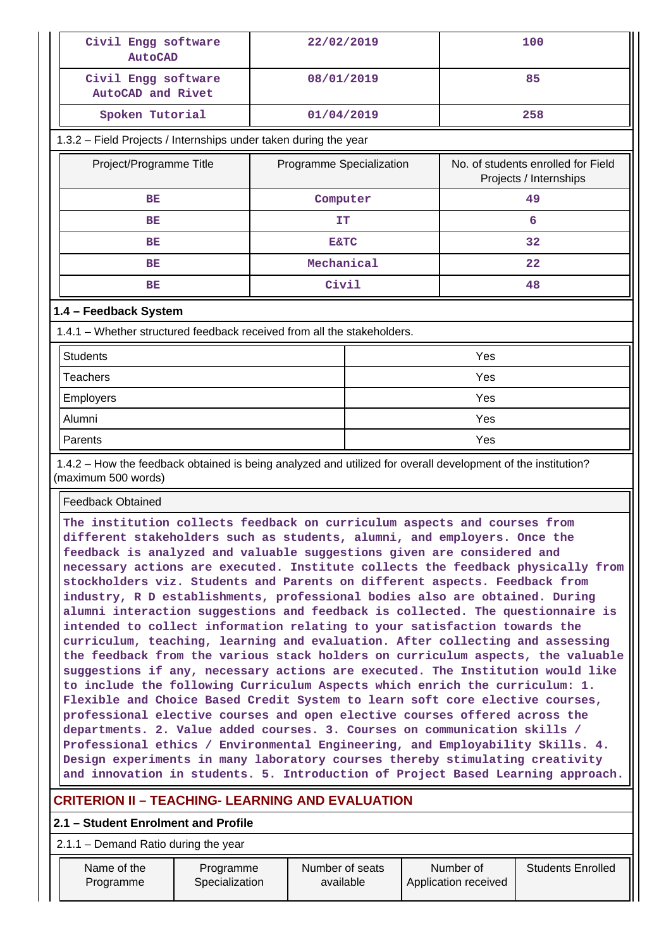| Civil Engg software<br><b>AutoCAD</b>                                                                                                                                                                                                                                                                                                                                                                                                                                                                                                                                                                                                                                                                                                                                                                             | 22/02/2019               |     | 100                                                          |  |  |  |  |  |
|-------------------------------------------------------------------------------------------------------------------------------------------------------------------------------------------------------------------------------------------------------------------------------------------------------------------------------------------------------------------------------------------------------------------------------------------------------------------------------------------------------------------------------------------------------------------------------------------------------------------------------------------------------------------------------------------------------------------------------------------------------------------------------------------------------------------|--------------------------|-----|--------------------------------------------------------------|--|--|--|--|--|
| Civil Engg software<br>AutoCAD and Rivet                                                                                                                                                                                                                                                                                                                                                                                                                                                                                                                                                                                                                                                                                                                                                                          | 08/01/2019               |     | 85                                                           |  |  |  |  |  |
| Spoken Tutorial                                                                                                                                                                                                                                                                                                                                                                                                                                                                                                                                                                                                                                                                                                                                                                                                   | 01/04/2019               |     | 258                                                          |  |  |  |  |  |
| 1.3.2 - Field Projects / Internships under taken during the year                                                                                                                                                                                                                                                                                                                                                                                                                                                                                                                                                                                                                                                                                                                                                  |                          |     |                                                              |  |  |  |  |  |
| Project/Programme Title                                                                                                                                                                                                                                                                                                                                                                                                                                                                                                                                                                                                                                                                                                                                                                                           | Programme Specialization |     | No. of students enrolled for Field<br>Projects / Internships |  |  |  |  |  |
| BE                                                                                                                                                                                                                                                                                                                                                                                                                                                                                                                                                                                                                                                                                                                                                                                                                | Computer                 |     | 49                                                           |  |  |  |  |  |
| BE                                                                                                                                                                                                                                                                                                                                                                                                                                                                                                                                                                                                                                                                                                                                                                                                                | IT                       |     | 6                                                            |  |  |  |  |  |
| <b>BE</b>                                                                                                                                                                                                                                                                                                                                                                                                                                                                                                                                                                                                                                                                                                                                                                                                         | <b>E&amp;TC</b>          |     | 32                                                           |  |  |  |  |  |
| BE                                                                                                                                                                                                                                                                                                                                                                                                                                                                                                                                                                                                                                                                                                                                                                                                                | Mechanical               |     | 22                                                           |  |  |  |  |  |
| BE                                                                                                                                                                                                                                                                                                                                                                                                                                                                                                                                                                                                                                                                                                                                                                                                                | Civil                    |     | 48                                                           |  |  |  |  |  |
| 1.4 - Feedback System                                                                                                                                                                                                                                                                                                                                                                                                                                                                                                                                                                                                                                                                                                                                                                                             |                          |     |                                                              |  |  |  |  |  |
| 1.4.1 – Whether structured feedback received from all the stakeholders.                                                                                                                                                                                                                                                                                                                                                                                                                                                                                                                                                                                                                                                                                                                                           |                          |     |                                                              |  |  |  |  |  |
| <b>Students</b>                                                                                                                                                                                                                                                                                                                                                                                                                                                                                                                                                                                                                                                                                                                                                                                                   |                          |     | Yes                                                          |  |  |  |  |  |
| <b>Teachers</b>                                                                                                                                                                                                                                                                                                                                                                                                                                                                                                                                                                                                                                                                                                                                                                                                   |                          | Yes |                                                              |  |  |  |  |  |
| Employers                                                                                                                                                                                                                                                                                                                                                                                                                                                                                                                                                                                                                                                                                                                                                                                                         |                          |     | Yes                                                          |  |  |  |  |  |
| Alumni                                                                                                                                                                                                                                                                                                                                                                                                                                                                                                                                                                                                                                                                                                                                                                                                            |                          | Yes |                                                              |  |  |  |  |  |
| Parents                                                                                                                                                                                                                                                                                                                                                                                                                                                                                                                                                                                                                                                                                                                                                                                                           |                          |     | Yes                                                          |  |  |  |  |  |
| 1.4.2 - How the feedback obtained is being analyzed and utilized for overall development of the institution?<br>(maximum 500 words)                                                                                                                                                                                                                                                                                                                                                                                                                                                                                                                                                                                                                                                                               |                          |     |                                                              |  |  |  |  |  |
| <b>Feedback Obtained</b>                                                                                                                                                                                                                                                                                                                                                                                                                                                                                                                                                                                                                                                                                                                                                                                          |                          |     |                                                              |  |  |  |  |  |
| The institution collects feedback on curriculum aspects and courses from<br>different stakeholders such as students, alumni, and employers. Once the<br>feedback is analyzed and valuable suggestions given are considered and<br>necessary actions are executed. Institute collects the feedback physically from<br>stockholders viz. Students and Parents on different aspects. Feedback from<br>industry, R D establishments, professional bodies also are obtained. During<br>alumni interaction suggestions and feedback is collected. The questionnaire is<br>intended to collect information relating to your satisfaction towards the<br>curriculum, teaching, learning and evaluation. After collecting and assessing<br>the feedback from the various stack holders on curriculum aspects, the valuable |                          |     |                                                              |  |  |  |  |  |

**suggestions if any, necessary actions are executed. The Institution would like to include the following Curriculum Aspects which enrich the curriculum: 1. Flexible and Choice Based Credit System to learn soft core elective courses, professional elective courses and open elective courses offered across the departments. 2. Value added courses. 3. Courses on communication skills / Professional ethics / Environmental Engineering, and Employability Skills. 4. Design experiments in many laboratory courses thereby stimulating creativity and innovation in students. 5. Introduction of Project Based Learning approach.**

# **CRITERION II – TEACHING- LEARNING AND EVALUATION**

### **2.1 – Student Enrolment and Profile**

2.1.1 – Demand Ratio during the year

| Name of the | Programme      | Number of seats | Number of            | <b>Students Enrolled</b> |
|-------------|----------------|-----------------|----------------------|--------------------------|
| Programme   | Specialization | available       | Application received |                          |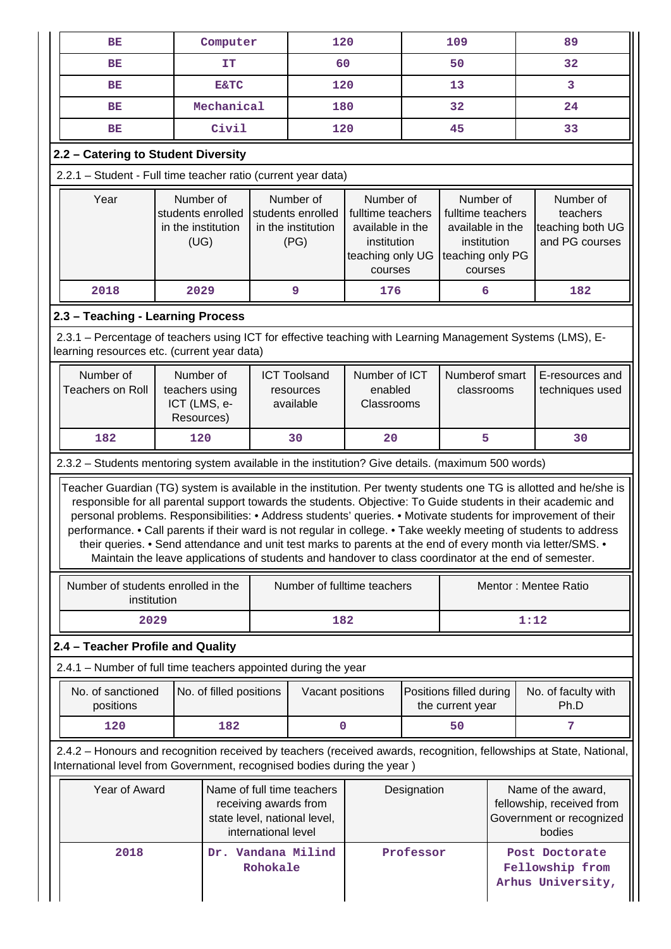| Computer<br>BE                                                                                                                                            |            | 120                                         |                                                              | 109                                           |                                                                                                  | 89 |                                                                                                  |                                                        |                                                                                                                                                                                                                                                                                                                                                                                                                                                                                                                                                                                                                                                                                                    |  |
|-----------------------------------------------------------------------------------------------------------------------------------------------------------|------------|---------------------------------------------|--------------------------------------------------------------|-----------------------------------------------|--------------------------------------------------------------------------------------------------|----|--------------------------------------------------------------------------------------------------|--------------------------------------------------------|----------------------------------------------------------------------------------------------------------------------------------------------------------------------------------------------------------------------------------------------------------------------------------------------------------------------------------------------------------------------------------------------------------------------------------------------------------------------------------------------------------------------------------------------------------------------------------------------------------------------------------------------------------------------------------------------------|--|
| BE<br>IΤ                                                                                                                                                  |            |                                             |                                                              | 60                                            |                                                                                                  | 50 |                                                                                                  | 32                                                     |                                                                                                                                                                                                                                                                                                                                                                                                                                                                                                                                                                                                                                                                                                    |  |
| BE                                                                                                                                                        |            | 120<br><b>E&amp;TC</b>                      |                                                              |                                               | 13                                                                                               |    |                                                                                                  | 3                                                      |                                                                                                                                                                                                                                                                                                                                                                                                                                                                                                                                                                                                                                                                                                    |  |
| BЕ                                                                                                                                                        |            | Mechanical                                  |                                                              | 180                                           |                                                                                                  |    | 32                                                                                               |                                                        | 24                                                                                                                                                                                                                                                                                                                                                                                                                                                                                                                                                                                                                                                                                                 |  |
| BE                                                                                                                                                        |            | Civil                                       |                                                              | 120                                           |                                                                                                  |    | 45                                                                                               |                                                        | 33                                                                                                                                                                                                                                                                                                                                                                                                                                                                                                                                                                                                                                                                                                 |  |
| 2.2 - Catering to Student Diversity                                                                                                                       |            |                                             |                                                              |                                               |                                                                                                  |    |                                                                                                  |                                                        |                                                                                                                                                                                                                                                                                                                                                                                                                                                                                                                                                                                                                                                                                                    |  |
| 2.2.1 - Student - Full time teacher ratio (current year data)                                                                                             |            |                                             |                                                              |                                               |                                                                                                  |    |                                                                                                  |                                                        |                                                                                                                                                                                                                                                                                                                                                                                                                                                                                                                                                                                                                                                                                                    |  |
| Number of<br>Year<br>students enrolled<br>in the institution<br>(UG)                                                                                      |            |                                             | Number of<br>students enrolled<br>in the institution<br>(PG) |                                               | Number of<br>fulltime teachers<br>available in the<br>institution<br>teaching only UG<br>courses |    | Number of<br>fulltime teachers<br>available in the<br>institution<br>teaching only PG<br>courses |                                                        | Number of<br>teachers<br>teaching both UG<br>and PG courses                                                                                                                                                                                                                                                                                                                                                                                                                                                                                                                                                                                                                                        |  |
| 2018                                                                                                                                                      | 2029       |                                             |                                                              | 9                                             | 176                                                                                              |    | 6                                                                                                |                                                        | 182                                                                                                                                                                                                                                                                                                                                                                                                                                                                                                                                                                                                                                                                                                |  |
| 2.3 - Teaching - Learning Process                                                                                                                         |            |                                             |                                                              |                                               |                                                                                                  |    |                                                                                                  |                                                        |                                                                                                                                                                                                                                                                                                                                                                                                                                                                                                                                                                                                                                                                                                    |  |
| 2.3.1 - Percentage of teachers using ICT for effective teaching with Learning Management Systems (LMS), E-<br>learning resources etc. (current year data) |            |                                             |                                                              |                                               |                                                                                                  |    |                                                                                                  |                                                        |                                                                                                                                                                                                                                                                                                                                                                                                                                                                                                                                                                                                                                                                                                    |  |
| Number of<br><b>Teachers on Roll</b>                                                                                                                      | Resources) | Number of<br>teachers using<br>ICT (LMS, e- |                                                              | <b>ICT Toolsand</b><br>resources<br>available | Number of ICT<br>enabled<br>Classrooms                                                           |    | Numberof smart<br>classrooms                                                                     |                                                        | E-resources and<br>techniques used                                                                                                                                                                                                                                                                                                                                                                                                                                                                                                                                                                                                                                                                 |  |
| 182                                                                                                                                                       | 120        |                                             |                                                              | 30                                            | 20                                                                                               |    | 5                                                                                                |                                                        | 30                                                                                                                                                                                                                                                                                                                                                                                                                                                                                                                                                                                                                                                                                                 |  |
| 2.3.2 - Students mentoring system available in the institution? Give details. (maximum 500 words)                                                         |            |                                             |                                                              |                                               |                                                                                                  |    |                                                                                                  |                                                        |                                                                                                                                                                                                                                                                                                                                                                                                                                                                                                                                                                                                                                                                                                    |  |
|                                                                                                                                                           |            |                                             |                                                              |                                               |                                                                                                  |    |                                                                                                  |                                                        | Teacher Guardian (TG) system is available in the institution. Per twenty students one TG is allotted and he/she is<br>responsible for all parental support towards the students. Objective: To Guide students in their academic and<br>personal problems. Responsibilities: • Address students' queries. • Motivate students for improvement of their<br>performance. • Call parents if their ward is not regular in college. • Take weekly meeting of students to address<br>their queries. • Send attendance and unit test marks to parents at the end of every month via letter/SMS. •<br>Maintain the leave applications of students and handover to class coordinator at the end of semester. |  |
| Number of students enrolled in the<br>institution                                                                                                         |            |                                             |                                                              | Number of fulltime teachers                   |                                                                                                  |    |                                                                                                  | Mentor: Mentee Ratio                                   |                                                                                                                                                                                                                                                                                                                                                                                                                                                                                                                                                                                                                                                                                                    |  |
| 2029                                                                                                                                                      |            |                                             |                                                              | 182                                           |                                                                                                  |    |                                                                                                  |                                                        | 1:12                                                                                                                                                                                                                                                                                                                                                                                                                                                                                                                                                                                                                                                                                               |  |
| 2.4 - Teacher Profile and Quality                                                                                                                         |            |                                             |                                                              |                                               |                                                                                                  |    |                                                                                                  |                                                        |                                                                                                                                                                                                                                                                                                                                                                                                                                                                                                                                                                                                                                                                                                    |  |
| 2.4.1 – Number of full time teachers appointed during the year                                                                                            |            |                                             |                                                              |                                               |                                                                                                  |    |                                                                                                  |                                                        |                                                                                                                                                                                                                                                                                                                                                                                                                                                                                                                                                                                                                                                                                                    |  |
| No. of sanctioned<br>positions                                                                                                                            |            | No. of filled positions                     |                                                              | Vacant positions                              |                                                                                                  |    | Positions filled during<br>the current year                                                      |                                                        | No. of faculty with<br>Ph.D                                                                                                                                                                                                                                                                                                                                                                                                                                                                                                                                                                                                                                                                        |  |
| 120                                                                                                                                                       |            | 182                                         | 0                                                            |                                               |                                                                                                  |    | 50                                                                                               |                                                        | 7                                                                                                                                                                                                                                                                                                                                                                                                                                                                                                                                                                                                                                                                                                  |  |
| International level from Government, recognised bodies during the year)                                                                                   |            |                                             |                                                              |                                               |                                                                                                  |    |                                                                                                  |                                                        | 2.4.2 - Honours and recognition received by teachers (received awards, recognition, fellowships at State, National,                                                                                                                                                                                                                                                                                                                                                                                                                                                                                                                                                                                |  |
| Year of Award<br>Name of full time teachers<br>receiving awards from<br>state level, national level,<br>international level                               |            | Designation                                 |                                                              |                                               |                                                                                                  |    | Name of the award,<br>fellowship, received from<br>Government or recognized<br>bodies            |                                                        |                                                                                                                                                                                                                                                                                                                                                                                                                                                                                                                                                                                                                                                                                                    |  |
| 2018                                                                                                                                                      |            |                                             | Rohokale                                                     | Dr. Vandana Milind                            | Professor                                                                                        |    |                                                                                                  | Post Doctorate<br>Fellowship from<br>Arhus University, |                                                                                                                                                                                                                                                                                                                                                                                                                                                                                                                                                                                                                                                                                                    |  |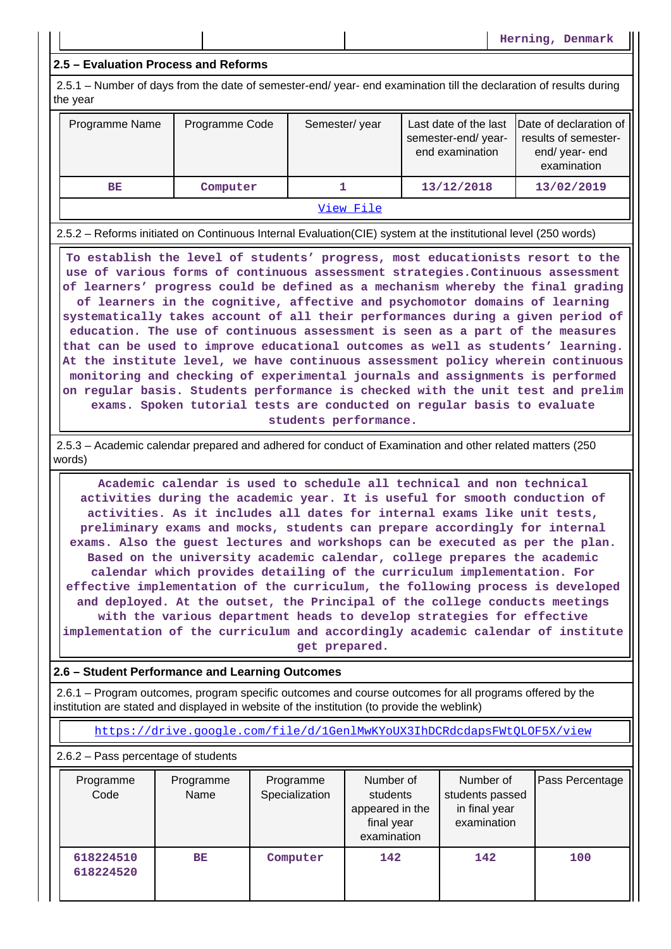**Herning, Denmark**

### **2.5 – Evaluation Process and Reforms**

 2.5.1 – Number of days from the date of semester-end/ year- end examination till the declaration of results during the year

| Programme Name | Programme Code | Semester/year | semester-end/year-<br>end examination | Last date of the last Date of declaration of<br>results of semester-<br>end/year-end<br>examination |  |  |
|----------------|----------------|---------------|---------------------------------------|-----------------------------------------------------------------------------------------------------|--|--|
| ВE             | Computer       |               | 13/12/2018                            | 13/02/2019                                                                                          |  |  |
| View File      |                |               |                                       |                                                                                                     |  |  |

2.5.2 – Reforms initiated on Continuous Internal Evaluation(CIE) system at the institutional level (250 words)

 **To establish the level of students' progress, most educationists resort to the use of various forms of continuous assessment strategies.Continuous assessment of learners' progress could be defined as a mechanism whereby the final grading of learners in the cognitive, affective and psychomotor domains of learning systematically takes account of all their performances during a given period of education. The use of continuous assessment is seen as a part of the measures that can be used to improve educational outcomes as well as students' learning. At the institute level, we have continuous assessment policy wherein continuous monitoring and checking of experimental journals and assignments is performed on regular basis. Students performance is checked with the unit test and prelim exams. Spoken tutorial tests are conducted on regular basis to evaluate students performance.**

 2.5.3 – Academic calendar prepared and adhered for conduct of Examination and other related matters (250 words)

 **Academic calendar is used to schedule all technical and non technical activities during the academic year. It is useful for smooth conduction of activities. As it includes all dates for internal exams like unit tests, preliminary exams and mocks, students can prepare accordingly for internal exams. Also the guest lectures and workshops can be executed as per the plan. Based on the university academic calendar, college prepares the academic calendar which provides detailing of the curriculum implementation. For effective implementation of the curriculum, the following process is developed and deployed. At the outset, the Principal of the college conducts meetings with the various department heads to develop strategies for effective implementation of the curriculum and accordingly academic calendar of institute get prepared.**

### **2.6 – Student Performance and Learning Outcomes**

 2.6.1 – Program outcomes, program specific outcomes and course outcomes for all programs offered by the institution are stated and displayed in website of the institution (to provide the weblink)

<https://drive.google.com/file/d/1GenlMwKYoUX3IhDCRdcdapsFWtQLOF5X/view>

2.6.2 – Pass percentage of students

| Programme<br>Code      | Programme<br>Name | Programme<br>Specialization | Number of<br>students<br>appeared in the<br>final year<br>examination | Number of<br>students passed<br>in final year<br>examination | Pass Percentage |
|------------------------|-------------------|-----------------------------|-----------------------------------------------------------------------|--------------------------------------------------------------|-----------------|
| 618224510<br>618224520 | <b>BE</b>         | Computer                    | 142                                                                   | 142                                                          | 100             |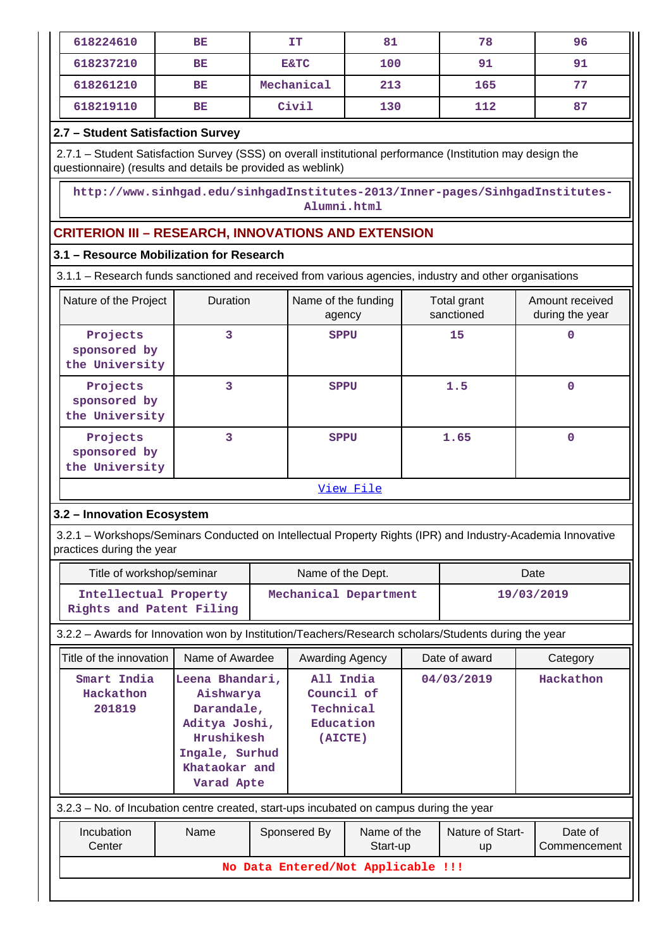| 618224610 | BE        | IT              | 81  | 78  | 96 |
|-----------|-----------|-----------------|-----|-----|----|
| 618237210 | <b>BE</b> | <b>E&amp;TC</b> | 100 | 91  | 91 |
| 618261210 | <b>BE</b> | Mechanical      | 213 | 165 | 77 |
| 618219110 | <b>BE</b> | Civil           | 130 | 112 | 87 |

# **2.7 – Student Satisfaction Survey**

 2.7.1 – Student Satisfaction Survey (SSS) on overall institutional performance (Institution may design the questionnaire) (results and details be provided as weblink)

 **http://www.sinhgad.edu/sinhgadInstitutes-2013/Inner-pages/SinhgadInstitutes-Alumni.html**

# **CRITERION III – RESEARCH, INNOVATIONS AND EXTENSION**

## **3.1 – Resource Mobilization for Research**

3.1.1 – Research funds sanctioned and received from various agencies, industry and other organisations

| Nature of the Project                      | <b>Duration</b> | Name of the funding<br>agency                                                | Total grant<br>sanctioned | Amount received<br>during the year |
|--------------------------------------------|-----------------|------------------------------------------------------------------------------|---------------------------|------------------------------------|
| Projects<br>sponsored by<br>the University | 3               | <b>SPPU</b>                                                                  | 15                        |                                    |
| Projects<br>sponsored by<br>the University | 3               | <b>SPPU</b>                                                                  | 1.5                       |                                    |
| Projects<br>sponsored by<br>the University | 3               | <b>SPPU</b>                                                                  | 1.65                      | n                                  |
|                                            |                 | $\overline{374}$ and $\overline{17}$ and $\overline{17}$ and $\overline{17}$ |                           |                                    |

[View File](https://assessmentonline.naac.gov.in/public/Postacc/Research_Fund/1287_Research_Fund_1570784722.xlsx)

## **3.2 – Innovation Ecosystem**

 3.2.1 – Workshops/Seminars Conducted on Intellectual Property Rights (IPR) and Industry-Academia Innovative practices during the year

| Title of workshop/seminar                         | Name of the Dept.     | Date       |
|---------------------------------------------------|-----------------------|------------|
| Intellectual Property<br>Rights and Patent Filing | Mechanical Department | 19/03/2019 |

3.2.2 – Awards for Innovation won by Institution/Teachers/Research scholars/Students during the year

| Title of the innovation                                                                 | Name of Awardee                                                                                                            |  | Awarding Agency                                              |                         | Date of award          | Category                |
|-----------------------------------------------------------------------------------------|----------------------------------------------------------------------------------------------------------------------------|--|--------------------------------------------------------------|-------------------------|------------------------|-------------------------|
| Smart India<br>Hackathon<br>201819                                                      | Leena Bhandari,<br>Aishwarya<br>Darandale,<br>Aditya Joshi,<br>Hrushikesh<br>Ingale, Surhud<br>Khataokar and<br>Varad Apte |  | All India<br>Council of<br>Technical<br>Education<br>(AICTE) |                         | 04/03/2019             | Hackathon               |
| 3.2.3 – No. of Incubation centre created, start-ups incubated on campus during the year |                                                                                                                            |  |                                                              |                         |                        |                         |
| Incubation<br>Center                                                                    | Name                                                                                                                       |  | Sponsered By                                                 | Name of the<br>Start-up | Nature of Start-<br>up | Date of<br>Commencement |
| No Data Entered/Not Applicable !!!                                                      |                                                                                                                            |  |                                                              |                         |                        |                         |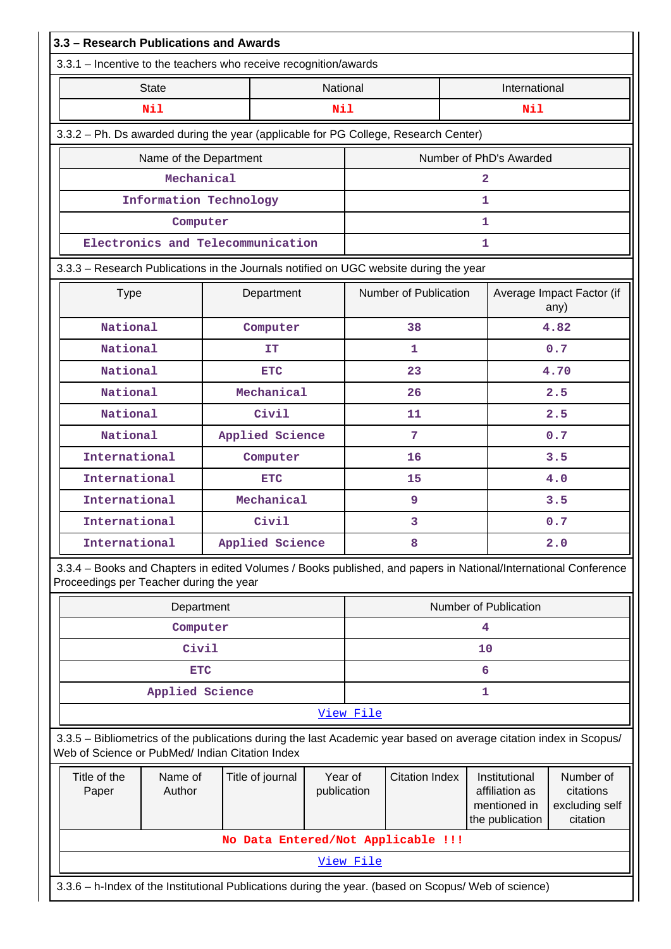|                                                                                                                                                                       |                                         | 3.3.1 - Incentive to the teachers who receive recognition/awards                                                |                        |           |                       |                                                                    |                                                      |  |
|-----------------------------------------------------------------------------------------------------------------------------------------------------------------------|-----------------------------------------|-----------------------------------------------------------------------------------------------------------------|------------------------|-----------|-----------------------|--------------------------------------------------------------------|------------------------------------------------------|--|
|                                                                                                                                                                       | <b>State</b>                            |                                                                                                                 | National               |           |                       | International                                                      |                                                      |  |
|                                                                                                                                                                       | Nil                                     |                                                                                                                 | Nil                    |           |                       | Nil                                                                |                                                      |  |
|                                                                                                                                                                       |                                         | 3.3.2 - Ph. Ds awarded during the year (applicable for PG College, Research Center)                             |                        |           |                       |                                                                    |                                                      |  |
|                                                                                                                                                                       | Name of the Department                  |                                                                                                                 |                        |           |                       | Number of PhD's Awarded                                            |                                                      |  |
|                                                                                                                                                                       | Mechanical                              |                                                                                                                 |                        |           |                       | $\overline{a}$                                                     |                                                      |  |
|                                                                                                                                                                       | Information Technology                  |                                                                                                                 |                        |           |                       | 1                                                                  |                                                      |  |
|                                                                                                                                                                       | Computer                                |                                                                                                                 |                        |           |                       | 1                                                                  |                                                      |  |
|                                                                                                                                                                       |                                         | Electronics and Telecommunication                                                                               |                        |           |                       | 1                                                                  |                                                      |  |
|                                                                                                                                                                       |                                         | 3.3.3 - Research Publications in the Journals notified on UGC website during the year                           |                        |           |                       |                                                                    |                                                      |  |
| <b>Type</b>                                                                                                                                                           |                                         | Department                                                                                                      |                        |           | Number of Publication |                                                                    | Average Impact Factor (if<br>any)                    |  |
| National                                                                                                                                                              |                                         | Computer                                                                                                        |                        |           | 38                    |                                                                    | 4.82                                                 |  |
| National                                                                                                                                                              |                                         | IΤ                                                                                                              |                        |           | 1                     |                                                                    | 0.7                                                  |  |
| National                                                                                                                                                              |                                         | <b>ETC</b>                                                                                                      |                        |           | 23                    |                                                                    | 4.70                                                 |  |
| National                                                                                                                                                              |                                         | Mechanical                                                                                                      |                        |           | 26                    |                                                                    | 2.5                                                  |  |
| National                                                                                                                                                              |                                         | Civil                                                                                                           |                        |           | 11                    |                                                                    | 2.5                                                  |  |
| National                                                                                                                                                              |                                         | Applied Science                                                                                                 |                        |           | 7                     | 0.7                                                                |                                                      |  |
| International                                                                                                                                                         |                                         | Computer                                                                                                        |                        |           | 16                    | 3.5                                                                |                                                      |  |
| International                                                                                                                                                         |                                         | <b>ETC</b>                                                                                                      |                        |           | 15                    | 4.0                                                                |                                                      |  |
| International                                                                                                                                                         |                                         | Mechanical                                                                                                      |                        |           | 9                     |                                                                    | 3.5                                                  |  |
| International                                                                                                                                                         |                                         | Civil                                                                                                           |                        |           | 3                     | 0.7                                                                |                                                      |  |
| International                                                                                                                                                         |                                         | Applied Science                                                                                                 |                        | 8<br>2.0  |                       |                                                                    |                                                      |  |
|                                                                                                                                                                       | Proceedings per Teacher during the year | 3.3.4 - Books and Chapters in edited Volumes / Books published, and papers in National/International Conference |                        |           |                       |                                                                    |                                                      |  |
|                                                                                                                                                                       | Department                              |                                                                                                                 |                        |           |                       | Number of Publication                                              |                                                      |  |
|                                                                                                                                                                       | Computer                                |                                                                                                                 |                        |           |                       | 4                                                                  |                                                      |  |
|                                                                                                                                                                       | Civil                                   |                                                                                                                 |                        |           |                       | 10                                                                 |                                                      |  |
|                                                                                                                                                                       | <b>ETC</b>                              |                                                                                                                 |                        |           |                       | 6                                                                  |                                                      |  |
|                                                                                                                                                                       | Applied Science                         |                                                                                                                 |                        |           |                       | $\mathbf{1}$                                                       |                                                      |  |
|                                                                                                                                                                       |                                         |                                                                                                                 |                        | View File |                       |                                                                    |                                                      |  |
| 3.3.5 - Bibliometrics of the publications during the last Academic year based on average citation index in Scopus/<br>Web of Science or PubMed/ Indian Citation Index |                                         |                                                                                                                 |                        |           |                       |                                                                    |                                                      |  |
| Title of the<br>Name of<br>Title of journal<br>Author<br>Paper                                                                                                        |                                         |                                                                                                                 | Year of<br>publication |           | <b>Citation Index</b> | Institutional<br>affiliation as<br>mentioned in<br>the publication | Number of<br>citations<br>excluding self<br>citation |  |
|                                                                                                                                                                       |                                         |                                                                                                                 |                        |           |                       |                                                                    |                                                      |  |
| No Data Entered/Not Applicable !!!<br>View File                                                                                                                       |                                         |                                                                                                                 |                        |           |                       |                                                                    |                                                      |  |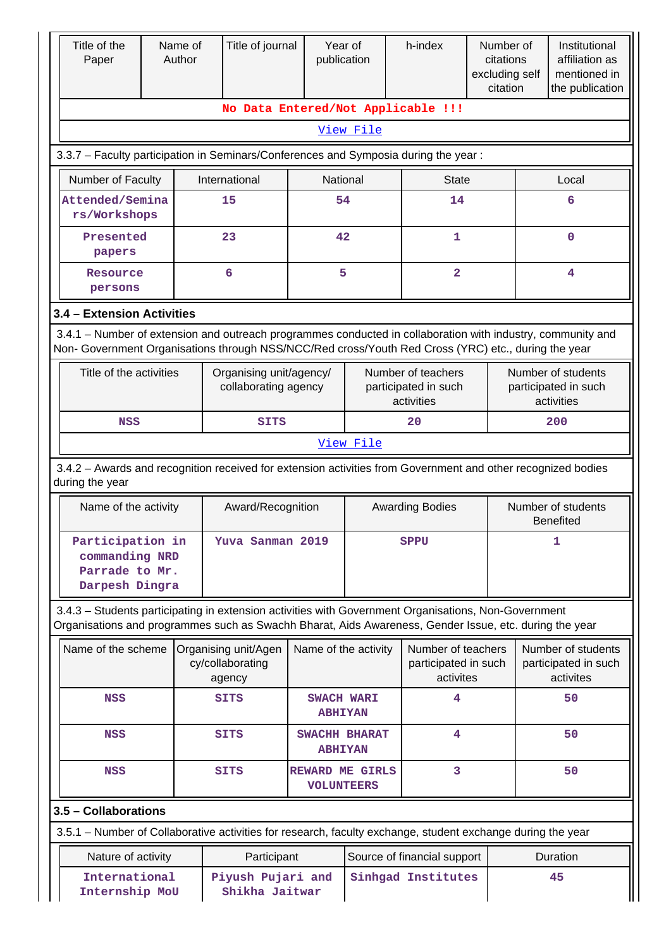| Title of the<br>Paper                                                                                                                                                                                              | Name of<br>Author | Title of journal                                   | Year of<br>publication                      |                    | h-index                                                  | Number of<br>citations<br>excluding self<br>citation |                                                          | Institutional<br>affiliation as<br>mentioned in<br>the publication |
|--------------------------------------------------------------------------------------------------------------------------------------------------------------------------------------------------------------------|-------------------|----------------------------------------------------|---------------------------------------------|--------------------|----------------------------------------------------------|------------------------------------------------------|----------------------------------------------------------|--------------------------------------------------------------------|
|                                                                                                                                                                                                                    |                   | No Data Entered/Not Applicable !!!                 |                                             |                    |                                                          |                                                      |                                                          |                                                                    |
|                                                                                                                                                                                                                    |                   |                                                    |                                             | View File          |                                                          |                                                      |                                                          |                                                                    |
| 3.3.7 - Faculty participation in Seminars/Conferences and Symposia during the year:                                                                                                                                |                   |                                                    |                                             |                    |                                                          |                                                      |                                                          |                                                                    |
| Number of Faculty                                                                                                                                                                                                  |                   | International                                      | National                                    |                    | <b>State</b>                                             |                                                      |                                                          | Local                                                              |
| Attended/Semina<br>rs/Workshops                                                                                                                                                                                    |                   | 15                                                 | 54                                          |                    | 14                                                       |                                                      |                                                          | 6                                                                  |
| Presented<br>papers                                                                                                                                                                                                |                   | 23                                                 | 42                                          |                    | 1                                                        |                                                      |                                                          | $\mathbf 0$                                                        |
| Resource<br>persons                                                                                                                                                                                                |                   | 6                                                  | 5                                           |                    | $\overline{2}$                                           |                                                      |                                                          | 4                                                                  |
| 3.4 - Extension Activities                                                                                                                                                                                         |                   |                                                    |                                             |                    |                                                          |                                                      |                                                          |                                                                    |
| 3.4.1 – Number of extension and outreach programmes conducted in collaboration with industry, community and<br>Non- Government Organisations through NSS/NCC/Red cross/Youth Red Cross (YRC) etc., during the year |                   |                                                    |                                             |                    |                                                          |                                                      |                                                          |                                                                    |
| Title of the activities                                                                                                                                                                                            |                   | Organising unit/agency/<br>collaborating agency    |                                             |                    | Number of teachers<br>participated in such<br>activities |                                                      | Number of students<br>participated in such<br>activities |                                                                    |
| <b>NSS</b>                                                                                                                                                                                                         |                   | <b>SITS</b>                                        |                                             |                    | 20                                                       |                                                      | 200                                                      |                                                                    |
|                                                                                                                                                                                                                    |                   |                                                    |                                             | View File          |                                                          |                                                      |                                                          |                                                                    |
| 3.4.2 - Awards and recognition received for extension activities from Government and other recognized bodies<br>during the year                                                                                    |                   |                                                    |                                             |                    |                                                          |                                                      |                                                          |                                                                    |
| Name of the activity                                                                                                                                                                                               |                   | Award/Recognition                                  | <b>Awarding Bodies</b>                      |                    |                                                          |                                                      | Number of students<br><b>Benefited</b>                   |                                                                    |
| Participation in<br>commanding NRD<br>Parrade to Mr.<br>Darpesh Dingra                                                                                                                                             |                   | Yuva Sanman 2019                                   |                                             |                    | <b>SPPU</b>                                              |                                                      |                                                          | 1                                                                  |
| 3.4.3 - Students participating in extension activities with Government Organisations, Non-Government<br>Organisations and programmes such as Swachh Bharat, Aids Awareness, Gender Issue, etc. during the year     |                   |                                                    |                                             |                    |                                                          |                                                      |                                                          |                                                                    |
| Name of the scheme                                                                                                                                                                                                 |                   | Organising unit/Agen<br>cy/collaborating<br>agency | Name of the activity                        |                    | Number of teachers<br>participated in such<br>activites  |                                                      |                                                          | Number of students<br>participated in such<br>activites            |
| <b>NSS</b>                                                                                                                                                                                                         |                   | <b>SITS</b>                                        | <b>SWACH WARI</b><br><b>ABHIYAN</b>         |                    | 4                                                        |                                                      |                                                          | 50                                                                 |
| NSS                                                                                                                                                                                                                |                   | <b>SITS</b>                                        | SWACHH BHARAT<br><b>ABHIYAN</b>             |                    | 4                                                        |                                                      |                                                          | 50                                                                 |
| <b>NSS</b>                                                                                                                                                                                                         |                   | <b>SITS</b>                                        | <b>REWARD ME GIRLS</b><br><b>VOLUNTEERS</b> |                    | 3                                                        |                                                      |                                                          | 50                                                                 |
| 3.5 - Collaborations                                                                                                                                                                                               |                   |                                                    |                                             |                    |                                                          |                                                      |                                                          |                                                                    |
| 3.5.1 – Number of Collaborative activities for research, faculty exchange, student exchange during the year                                                                                                        |                   |                                                    |                                             |                    |                                                          |                                                      |                                                          |                                                                    |
| Nature of activity                                                                                                                                                                                                 |                   | Participant                                        |                                             |                    | Source of financial support                              |                                                      |                                                          | Duration                                                           |
| International<br>Internship MoU                                                                                                                                                                                    |                   | Piyush Pujari and<br>Shikha Jaitwar                |                                             | Sinhgad Institutes |                                                          | 45                                                   |                                                          |                                                                    |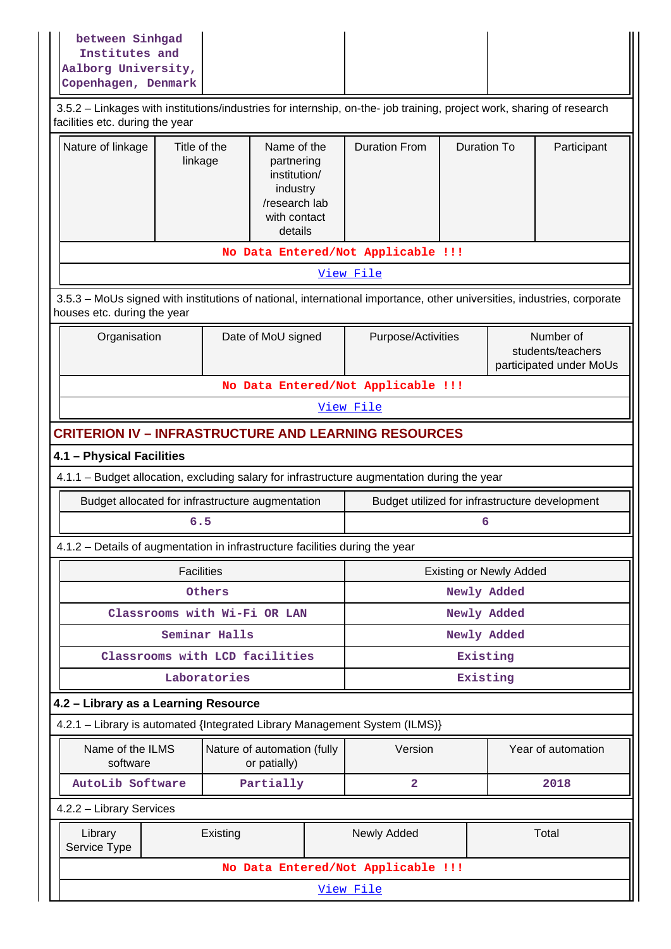| between Sinhgad<br>Institutes and<br>Aalborg University,<br>Copenhagen, Denmark |                                                                                                                                                          |                                                                                                                        |                         |                                                |  |                                                           |  |
|---------------------------------------------------------------------------------|----------------------------------------------------------------------------------------------------------------------------------------------------------|------------------------------------------------------------------------------------------------------------------------|-------------------------|------------------------------------------------|--|-----------------------------------------------------------|--|
|                                                                                 | 3.5.2 - Linkages with institutions/industries for internship, on-the- job training, project work, sharing of research<br>facilities etc. during the year |                                                                                                                        |                         |                                                |  |                                                           |  |
| Nature of linkage                                                               | Title of the<br>Name of the<br>linkage<br>partnering<br>institution/<br>industry<br>/research lab<br>with contact<br>details                             |                                                                                                                        |                         | <b>Duration To</b>                             |  | Participant                                               |  |
|                                                                                 |                                                                                                                                                          | No Data Entered/Not Applicable !!!                                                                                     |                         |                                                |  |                                                           |  |
|                                                                                 |                                                                                                                                                          |                                                                                                                        | View File               |                                                |  |                                                           |  |
| houses etc. during the year                                                     |                                                                                                                                                          | 3.5.3 - MoUs signed with institutions of national, international importance, other universities, industries, corporate |                         |                                                |  |                                                           |  |
| Organisation                                                                    |                                                                                                                                                          | Date of MoU signed                                                                                                     | Purpose/Activities      |                                                |  | Number of<br>students/teachers<br>participated under MoUs |  |
|                                                                                 |                                                                                                                                                          | No Data Entered/Not Applicable !!!                                                                                     |                         |                                                |  |                                                           |  |
|                                                                                 |                                                                                                                                                          |                                                                                                                        | View File               |                                                |  |                                                           |  |
|                                                                                 |                                                                                                                                                          | <b>CRITERION IV - INFRASTRUCTURE AND LEARNING RESOURCES</b>                                                            |                         |                                                |  |                                                           |  |
| 4.1 - Physical Facilities                                                       |                                                                                                                                                          |                                                                                                                        |                         |                                                |  |                                                           |  |
|                                                                                 |                                                                                                                                                          | 4.1.1 - Budget allocation, excluding salary for infrastructure augmentation during the year                            |                         |                                                |  |                                                           |  |
|                                                                                 |                                                                                                                                                          | Budget allocated for infrastructure augmentation                                                                       |                         | Budget utilized for infrastructure development |  |                                                           |  |
|                                                                                 | 6.5                                                                                                                                                      |                                                                                                                        | 6                       |                                                |  |                                                           |  |
|                                                                                 |                                                                                                                                                          | 4.1.2 – Details of augmentation in infrastructure facilities during the year                                           |                         |                                                |  |                                                           |  |
|                                                                                 | <b>Facilities</b>                                                                                                                                        |                                                                                                                        |                         | <b>Existing or Newly Added</b>                 |  |                                                           |  |
|                                                                                 | Others                                                                                                                                                   |                                                                                                                        | Newly Added             |                                                |  |                                                           |  |
|                                                                                 | Classrooms with Wi-Fi OR LAN                                                                                                                             |                                                                                                                        | Newly Added             |                                                |  |                                                           |  |
|                                                                                 | Seminar Halls                                                                                                                                            |                                                                                                                        |                         | Newly Added                                    |  |                                                           |  |
|                                                                                 | Classrooms with LCD facilities                                                                                                                           |                                                                                                                        |                         | Existing                                       |  |                                                           |  |
|                                                                                 | Laboratories                                                                                                                                             |                                                                                                                        |                         | Existing                                       |  |                                                           |  |
| 4.2 - Library as a Learning Resource                                            |                                                                                                                                                          |                                                                                                                        |                         |                                                |  |                                                           |  |
|                                                                                 |                                                                                                                                                          | 4.2.1 - Library is automated {Integrated Library Management System (ILMS)}                                             |                         |                                                |  |                                                           |  |
| Name of the ILMS<br>software                                                    |                                                                                                                                                          | Nature of automation (fully<br>or patially)                                                                            | Version                 |                                                |  | Year of automation                                        |  |
| AutoLib Software                                                                |                                                                                                                                                          | Partially                                                                                                              | $\overline{\mathbf{2}}$ |                                                |  | 2018                                                      |  |
| 4.2.2 - Library Services                                                        |                                                                                                                                                          |                                                                                                                        |                         |                                                |  |                                                           |  |
| Library<br>Service Type                                                         | Existing                                                                                                                                                 |                                                                                                                        | Newly Added             |                                                |  | Total                                                     |  |
|                                                                                 |                                                                                                                                                          | No Data Entered/Not Applicable !!!                                                                                     |                         |                                                |  |                                                           |  |
| View File                                                                       |                                                                                                                                                          |                                                                                                                        |                         |                                                |  |                                                           |  |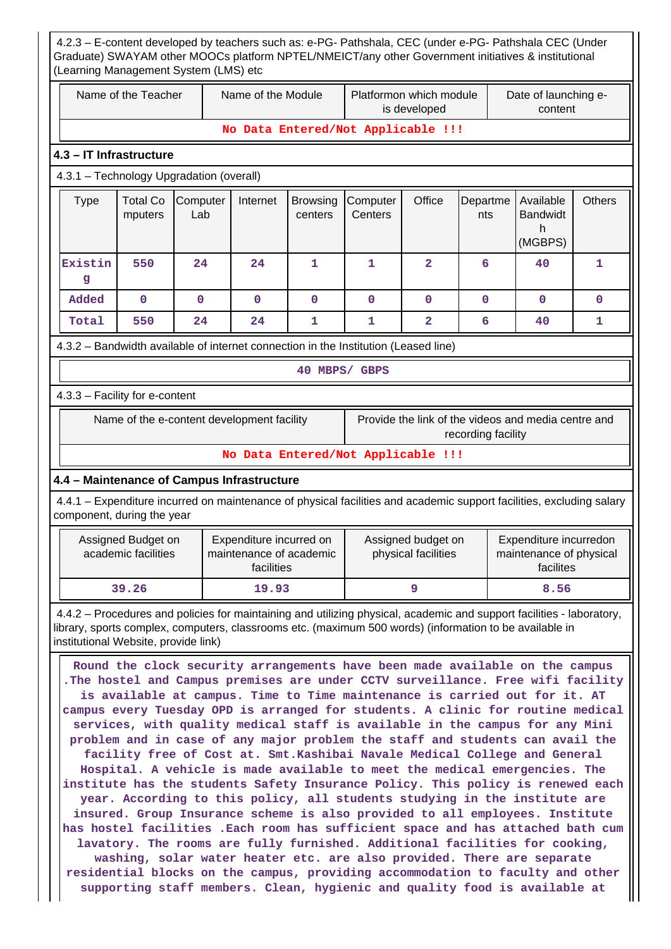| 4.2.3 - E-content developed by teachers such as: e-PG- Pathshala, CEC (under e-PG- Pathshala CEC (Under<br>Graduate) SWAYAM other MOOCs platform NPTEL/NMEICT/any other Government initiatives & institutional<br>(Learning Management System (LMS) etc                                                                                                                                                                                                                                                                                                                                                                                                                                                                                                                                                                                                                                                                                                                                                                                                                                                                                                                                                                                                                                                                      |                                           |                                            |                                                                  |                            |                                                                                     |                                           |                    |                                                                |               |
|------------------------------------------------------------------------------------------------------------------------------------------------------------------------------------------------------------------------------------------------------------------------------------------------------------------------------------------------------------------------------------------------------------------------------------------------------------------------------------------------------------------------------------------------------------------------------------------------------------------------------------------------------------------------------------------------------------------------------------------------------------------------------------------------------------------------------------------------------------------------------------------------------------------------------------------------------------------------------------------------------------------------------------------------------------------------------------------------------------------------------------------------------------------------------------------------------------------------------------------------------------------------------------------------------------------------------|-------------------------------------------|--------------------------------------------|------------------------------------------------------------------|----------------------------|-------------------------------------------------------------------------------------|-------------------------------------------|--------------------|----------------------------------------------------------------|---------------|
|                                                                                                                                                                                                                                                                                                                                                                                                                                                                                                                                                                                                                                                                                                                                                                                                                                                                                                                                                                                                                                                                                                                                                                                                                                                                                                                              | Name of the Teacher                       |                                            | Name of the Module                                               |                            |                                                                                     | Platformon which module<br>is developed   |                    | Date of launching e-<br>content                                |               |
|                                                                                                                                                                                                                                                                                                                                                                                                                                                                                                                                                                                                                                                                                                                                                                                                                                                                                                                                                                                                                                                                                                                                                                                                                                                                                                                              |                                           |                                            |                                                                  |                            | No Data Entered/Not Applicable !!!                                                  |                                           |                    |                                                                |               |
| 4.3 - IT Infrastructure                                                                                                                                                                                                                                                                                                                                                                                                                                                                                                                                                                                                                                                                                                                                                                                                                                                                                                                                                                                                                                                                                                                                                                                                                                                                                                      |                                           |                                            |                                                                  |                            |                                                                                     |                                           |                    |                                                                |               |
| 4.3.1 - Technology Upgradation (overall)                                                                                                                                                                                                                                                                                                                                                                                                                                                                                                                                                                                                                                                                                                                                                                                                                                                                                                                                                                                                                                                                                                                                                                                                                                                                                     |                                           |                                            |                                                                  |                            |                                                                                     |                                           |                    |                                                                |               |
| <b>Type</b>                                                                                                                                                                                                                                                                                                                                                                                                                                                                                                                                                                                                                                                                                                                                                                                                                                                                                                                                                                                                                                                                                                                                                                                                                                                                                                                  | <b>Total Co</b><br>mputers                | Computer<br>Lab                            | Internet                                                         | <b>Browsing</b><br>centers | Computer<br>Centers                                                                 | Office                                    | Departme<br>nts    | Available<br><b>Bandwidt</b><br>h<br>(MGBPS)                   | <b>Others</b> |
| Existin<br>g                                                                                                                                                                                                                                                                                                                                                                                                                                                                                                                                                                                                                                                                                                                                                                                                                                                                                                                                                                                                                                                                                                                                                                                                                                                                                                                 | 550                                       | 24                                         | 24                                                               | 1                          | 1                                                                                   | $\mathbf{2}$                              | 6                  | 40                                                             | 1             |
| Added                                                                                                                                                                                                                                                                                                                                                                                                                                                                                                                                                                                                                                                                                                                                                                                                                                                                                                                                                                                                                                                                                                                                                                                                                                                                                                                        | 0                                         | $\mathbf 0$                                | $\mathbf{O}$                                                     | $\mathbf{O}$               | $\mathbf 0$                                                                         | 0                                         | $\mathbf 0$        | $\mathbf 0$                                                    | $\mathbf 0$   |
| Total                                                                                                                                                                                                                                                                                                                                                                                                                                                                                                                                                                                                                                                                                                                                                                                                                                                                                                                                                                                                                                                                                                                                                                                                                                                                                                                        | 550                                       | 24                                         | 24                                                               | 1                          | 1                                                                                   | $\overline{\mathbf{2}}$                   | 6                  | 40                                                             | 1             |
|                                                                                                                                                                                                                                                                                                                                                                                                                                                                                                                                                                                                                                                                                                                                                                                                                                                                                                                                                                                                                                                                                                                                                                                                                                                                                                                              |                                           |                                            |                                                                  |                            | 4.3.2 – Bandwidth available of internet connection in the Institution (Leased line) |                                           |                    |                                                                |               |
|                                                                                                                                                                                                                                                                                                                                                                                                                                                                                                                                                                                                                                                                                                                                                                                                                                                                                                                                                                                                                                                                                                                                                                                                                                                                                                                              |                                           |                                            |                                                                  |                            | 40 MBPS/ GBPS                                                                       |                                           |                    |                                                                |               |
| 4.3.3 - Facility for e-content                                                                                                                                                                                                                                                                                                                                                                                                                                                                                                                                                                                                                                                                                                                                                                                                                                                                                                                                                                                                                                                                                                                                                                                                                                                                                               |                                           |                                            |                                                                  |                            |                                                                                     |                                           |                    |                                                                |               |
|                                                                                                                                                                                                                                                                                                                                                                                                                                                                                                                                                                                                                                                                                                                                                                                                                                                                                                                                                                                                                                                                                                                                                                                                                                                                                                                              |                                           | Name of the e-content development facility |                                                                  |                            |                                                                                     |                                           | recording facility | Provide the link of the videos and media centre and            |               |
|                                                                                                                                                                                                                                                                                                                                                                                                                                                                                                                                                                                                                                                                                                                                                                                                                                                                                                                                                                                                                                                                                                                                                                                                                                                                                                                              |                                           |                                            |                                                                  |                            | No Data Entered/Not Applicable !!!                                                  |                                           |                    |                                                                |               |
| 4.4 - Maintenance of Campus Infrastructure                                                                                                                                                                                                                                                                                                                                                                                                                                                                                                                                                                                                                                                                                                                                                                                                                                                                                                                                                                                                                                                                                                                                                                                                                                                                                   |                                           |                                            |                                                                  |                            |                                                                                     |                                           |                    |                                                                |               |
| 4.4.1 - Expenditure incurred on maintenance of physical facilities and academic support facilities, excluding salary<br>component, during the year                                                                                                                                                                                                                                                                                                                                                                                                                                                                                                                                                                                                                                                                                                                                                                                                                                                                                                                                                                                                                                                                                                                                                                           |                                           |                                            |                                                                  |                            |                                                                                     |                                           |                    |                                                                |               |
|                                                                                                                                                                                                                                                                                                                                                                                                                                                                                                                                                                                                                                                                                                                                                                                                                                                                                                                                                                                                                                                                                                                                                                                                                                                                                                                              | Assigned Budget on<br>academic facilities |                                            | Expenditure incurred on<br>maintenance of academic<br>facilities |                            |                                                                                     | Assigned budget on<br>physical facilities |                    | Expenditure incurredon<br>maintenance of physical<br>facilites |               |
|                                                                                                                                                                                                                                                                                                                                                                                                                                                                                                                                                                                                                                                                                                                                                                                                                                                                                                                                                                                                                                                                                                                                                                                                                                                                                                                              | 39.26                                     |                                            | 19.93                                                            |                            |                                                                                     | 9                                         |                    | 8.56                                                           |               |
| 4.4.2 – Procedures and policies for maintaining and utilizing physical, academic and support facilities - laboratory,<br>library, sports complex, computers, classrooms etc. (maximum 500 words) (information to be available in<br>institutional Website, provide link)                                                                                                                                                                                                                                                                                                                                                                                                                                                                                                                                                                                                                                                                                                                                                                                                                                                                                                                                                                                                                                                     |                                           |                                            |                                                                  |                            |                                                                                     |                                           |                    |                                                                |               |
| Round the clock security arrangements have been made available on the campus<br>. The hostel and Campus premises are under CCTV surveillance. Free wifi facility<br>is available at campus. Time to Time maintenance is carried out for it. AT<br>campus every Tuesday OPD is arranged for students. A clinic for routine medical<br>services, with quality medical staff is available in the campus for any Mini<br>problem and in case of any major problem the staff and students can avail the<br>facility free of Cost at. Smt. Kashibai Navale Medical College and General<br>Hospital. A vehicle is made available to meet the medical emergencies. The<br>institute has the students Safety Insurance Policy. This policy is renewed each<br>year. According to this policy, all students studying in the institute are<br>insured. Group Insurance scheme is also provided to all employees. Institute<br>has hostel facilities . Each room has sufficient space and has attached bath cum<br>lavatory. The rooms are fully furnished. Additional facilities for cooking,<br>washing, solar water heater etc. are also provided. There are separate<br>residential blocks on the campus, providing accommodation to faculty and other<br>supporting staff members. Clean, hygienic and quality food is available at |                                           |                                            |                                                                  |                            |                                                                                     |                                           |                    |                                                                |               |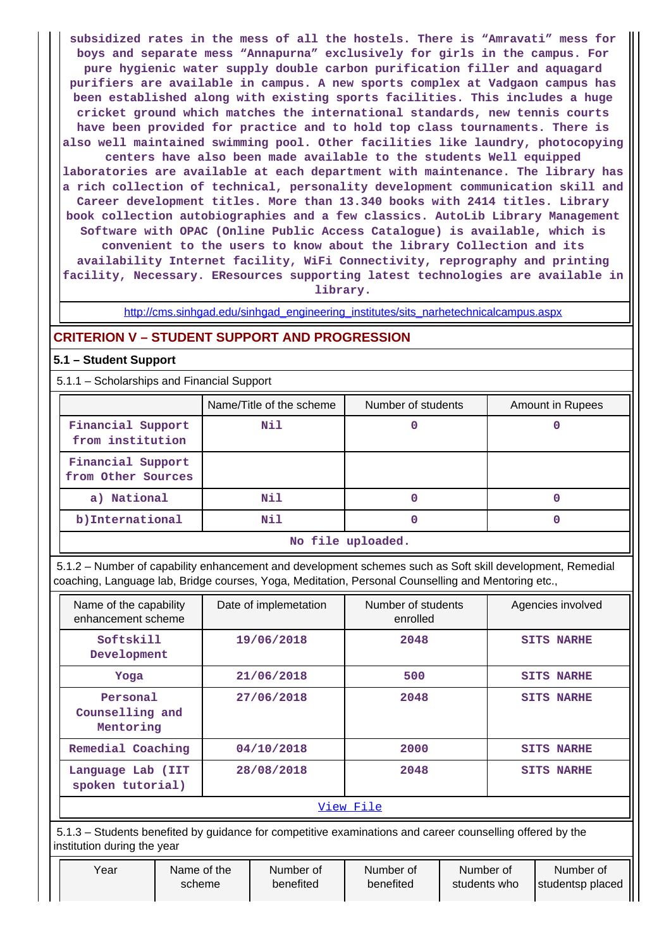**subsidized rates in the mess of all the hostels. There is "Amravati" mess for boys and separate mess "Annapurna" exclusively for girls in the campus. For pure hygienic water supply double carbon purification filler and aquagard purifiers are available in campus. A new sports complex at Vadgaon campus has been established along with existing sports facilities. This includes a huge cricket ground which matches the international standards, new tennis courts have been provided for practice and to hold top class tournaments. There is also well maintained swimming pool. Other facilities like laundry, photocopying centers have also been made available to the students Well equipped laboratories are available at each department with maintenance. The library has a rich collection of technical, personality development communication skill and Career development titles. More than 13.340 books with 2414 titles. Library book collection autobiographies and a few classics. AutoLib Library Management Software with OPAC (Online Public Access Catalogue) is available, which is convenient to the users to know about the library Collection and its availability Internet facility, WiFi Connectivity, reprography and printing facility, Necessary. EResources supporting latest technologies are available in**

**library.**

[http://cms.sinhgad.edu/sinhgad\\_engineering\\_institutes/sits\\_narhetechnicalcampus.aspx](http://cms.sinhgad.edu/sinhgad_engineering_institutes/sits_narhetechnicalcampus.aspx)

### **CRITERION V – STUDENT SUPPORT AND PROGRESSION**

### **5.1 – Student Support**

5.1.1 – Scholarships and Financial Support

|                                         | Name/Title of the scheme | Number of students | Amount in Rupees |  |  |
|-----------------------------------------|--------------------------|--------------------|------------------|--|--|
| Financial Support<br>from institution   | Nil                      |                    |                  |  |  |
| Financial Support<br>from Other Sources |                          |                    |                  |  |  |
| a) National                             | Nil                      | 0                  |                  |  |  |
| b) International                        | Nil                      |                    |                  |  |  |
| No file uploaded.                       |                          |                    |                  |  |  |

 5.1.2 – Number of capability enhancement and development schemes such as Soft skill development, Remedial coaching, Language lab, Bridge courses, Yoga, Meditation, Personal Counselling and Mentoring etc.,

| Name of the capability<br>enhancement scheme | Date of implemetation | Number of students<br>enrolled | Agencies involved |
|----------------------------------------------|-----------------------|--------------------------------|-------------------|
| Softskill<br>Development                     | 19/06/2018            | 2048                           | <b>SITS NARHE</b> |
| Yoga                                         | 21/06/2018            | 500                            | <b>SITS NARHE</b> |
| Personal<br>Counselling and<br>Mentoring     | 27/06/2018            | 2048                           | <b>SITS NARHE</b> |
| Remedial Coaching                            | 04/10/2018            | 2000                           | <b>SITS NARHE</b> |
| Language Lab (IIT<br>spoken tutorial)        | 28/08/2018            | 2048                           | <b>SITS NARHE</b> |
|                                              |                       | View File                      |                   |

 5.1.3 – Students benefited by guidance for competitive examinations and career counselling offered by the institution during the year

| Year | Name of the |
|------|-------------|
|      | scheme      |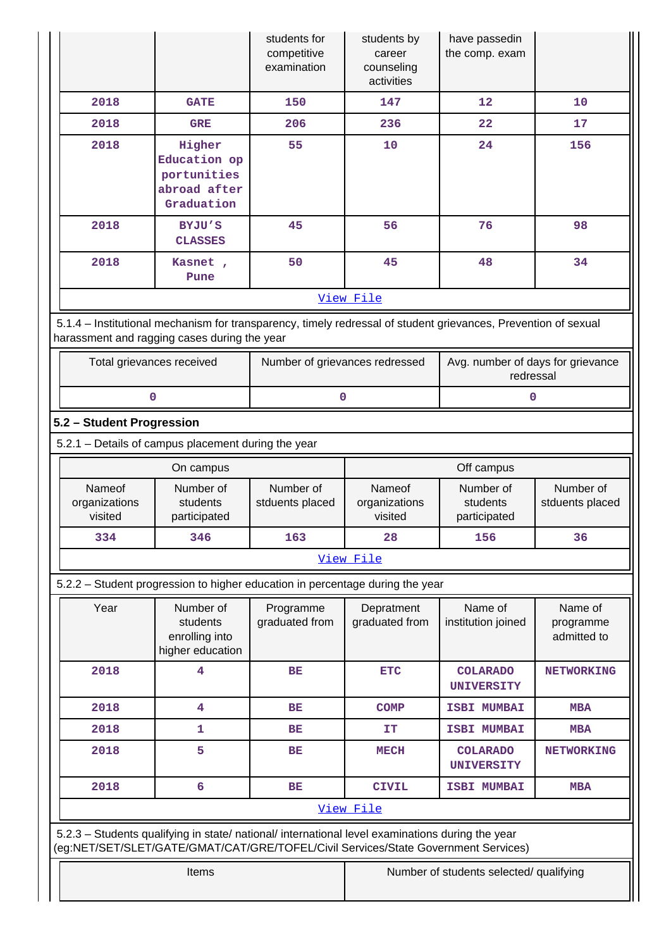|                                                                                    |                                                                                                                | students for<br>competitive<br>examination | students by<br>career<br>counseling<br>activities | have passedin<br>the comp. exam                |                                     |
|------------------------------------------------------------------------------------|----------------------------------------------------------------------------------------------------------------|--------------------------------------------|---------------------------------------------------|------------------------------------------------|-------------------------------------|
| 2018                                                                               | <b>GATE</b>                                                                                                    | 150                                        | 147                                               | $12 \overline{ }$                              | 10                                  |
| 2018                                                                               | <b>GRE</b>                                                                                                     | 206                                        | 236                                               | 22                                             | 17                                  |
| 2018                                                                               | Higher<br>Education op<br>portunities<br>abroad after<br>Graduation                                            | 55                                         | 10                                                | 24                                             | 156                                 |
| 2018                                                                               | BYJU'S<br><b>CLASSES</b>                                                                                       | 45                                         | 56                                                | 76                                             | 98                                  |
| 2018                                                                               | Kasnet,<br>Pune                                                                                                | 50                                         | 45                                                | 48                                             | 34                                  |
|                                                                                    |                                                                                                                |                                            | View File                                         |                                                |                                     |
| harassment and ragging cases during the year                                       | 5.1.4 – Institutional mechanism for transparency, timely redressal of student grievances, Prevention of sexual |                                            |                                                   |                                                |                                     |
|                                                                                    | Total grievances received                                                                                      | Number of grievances redressed             |                                                   | Avg. number of days for grievance<br>redressal |                                     |
|                                                                                    | 0                                                                                                              | 0                                          |                                                   | 0                                              |                                     |
| 5.2 - Student Progression                                                          |                                                                                                                |                                            |                                                   |                                                |                                     |
|                                                                                    | 5.2.1 - Details of campus placement during the year                                                            |                                            |                                                   |                                                |                                     |
|                                                                                    | On campus                                                                                                      |                                            |                                                   | Off campus                                     |                                     |
| Nameof<br>organizations<br>visited                                                 | Number of<br>students<br>participated                                                                          | Number of<br>stduents placed               | Nameof<br>organizations<br>visited                | Number of<br>students<br>participated          | Number of<br>stduents placed        |
| 334                                                                                | 346                                                                                                            | 163                                        | 28                                                | 156                                            | 36                                  |
|                                                                                    |                                                                                                                |                                            | View File                                         |                                                |                                     |
|                                                                                    | 5.2.2 - Student progression to higher education in percentage during the year                                  |                                            |                                                   |                                                |                                     |
| Year                                                                               | Number of<br>students<br>enrolling into<br>higher education                                                    | Programme<br>graduated from                | Depratment<br>graduated from                      | Name of<br>institution joined                  | Name of<br>programme<br>admitted to |
| 2018                                                                               | 4                                                                                                              | BE                                         | <b>ETC</b>                                        | <b>COLARADO</b><br><b>UNIVERSITY</b>           | <b>NETWORKING</b>                   |
| 2018                                                                               | 4                                                                                                              | <b>BE</b>                                  | <b>COMP</b>                                       | <b>ISBI MUMBAI</b>                             | <b>MBA</b>                          |
| 2018                                                                               | 1                                                                                                              | BE                                         | IT                                                | <b>ISBI MUMBAI</b>                             | <b>MBA</b>                          |
| 2018                                                                               | 5                                                                                                              | <b>BE</b>                                  | <b>MECH</b>                                       | <b>COLARADO</b><br><b>UNIVERSITY</b>           | <b>NETWORKING</b>                   |
| 2018                                                                               | 6                                                                                                              | <b>BE</b>                                  | <b>CIVIL</b>                                      | <b>ISBI MUMBAI</b>                             | <b>MBA</b>                          |
|                                                                                    |                                                                                                                |                                            | View File                                         |                                                |                                     |
| (eg:NET/SET/SLET/GATE/GMAT/CAT/GRE/TOFEL/Civil Services/State Government Services) | 5.2.3 - Students qualifying in state/ national/ international level examinations during the year               |                                            |                                                   |                                                |                                     |
|                                                                                    | Items                                                                                                          |                                            |                                                   | Number of students selected/ qualifying        |                                     |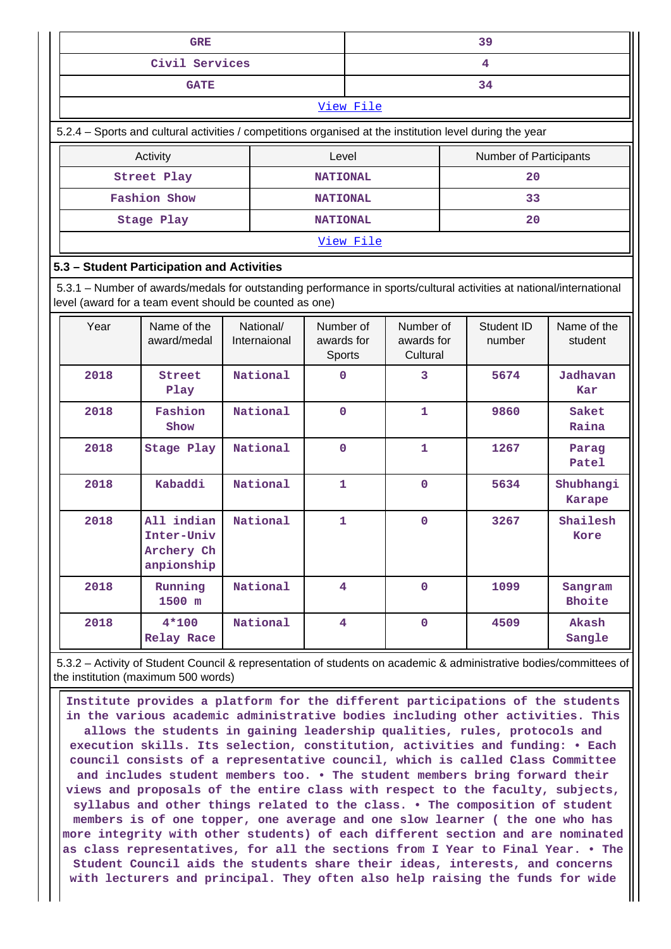|      |                                                                                                                                                                                | 39                        |                                   |           |                                     |  |                        |                            |
|------|--------------------------------------------------------------------------------------------------------------------------------------------------------------------------------|---------------------------|-----------------------------------|-----------|-------------------------------------|--|------------------------|----------------------------|
|      |                                                                                                                                                                                | 4                         |                                   |           |                                     |  |                        |                            |
|      | <b>GATE</b>                                                                                                                                                                    |                           |                                   |           |                                     |  | 34                     |                            |
|      |                                                                                                                                                                                |                           |                                   | View File |                                     |  |                        |                            |
|      | 5.2.4 – Sports and cultural activities / competitions organised at the institution level during the year                                                                       |                           |                                   |           |                                     |  |                        |                            |
|      | Activity                                                                                                                                                                       |                           | Level                             |           |                                     |  | Number of Participants |                            |
|      | Street Play                                                                                                                                                                    |                           | <b>NATIONAL</b>                   |           |                                     |  | 20                     |                            |
|      | <b>Fashion Show</b>                                                                                                                                                            |                           | <b>NATIONAL</b>                   |           |                                     |  | 33                     |                            |
|      | Stage Play                                                                                                                                                                     |                           | <b>NATIONAL</b>                   |           |                                     |  | 20                     |                            |
|      |                                                                                                                                                                                |                           |                                   | View File |                                     |  |                        |                            |
|      | 5.3 - Student Participation and Activities                                                                                                                                     |                           |                                   |           |                                     |  |                        |                            |
|      | 5.3.1 – Number of awards/medals for outstanding performance in sports/cultural activities at national/international<br>level (award for a team event should be counted as one) |                           |                                   |           |                                     |  |                        |                            |
| Year | Name of the<br>award/medal                                                                                                                                                     | National/<br>Internaional | Number of<br>awards for<br>Sports |           | Number of<br>awards for<br>Cultural |  | Student ID<br>number   | Name of the<br>student     |
| 2018 | Street<br>Play                                                                                                                                                                 | National                  | 0                                 |           | 3                                   |  | 5674                   | Jadhavan<br>Kar            |
| 2018 | Fashion<br>Show                                                                                                                                                                | National                  | 0                                 |           | $\mathbf{1}$                        |  | 9860                   | Saket<br>Raina             |
| 2018 | Stage Play                                                                                                                                                                     | National                  | 0                                 |           | 1                                   |  | 1267                   | Parag<br>Patel             |
| 2018 | Kabaddi                                                                                                                                                                        | National                  | $\mathbf{1}$                      |           | $\mathbf 0$                         |  | 5634                   | Shubhangi<br><b>Karape</b> |
| 2018 | All indian<br>Inter-Univ<br>Archery Ch<br>anpionship                                                                                                                           | National                  | $\mathbf{1}$                      |           | $\mathbf 0$                         |  | 3267                   | Shailesh<br>Kore           |
| 2018 | Running<br>1500 m                                                                                                                                                              | National                  | $\overline{\mathbf{4}}$           |           | $\mathbf 0$                         |  | 1099                   | Sangram<br>Bhoite          |
| 2018 | $4*100$                                                                                                                                                                        | National                  | $\overline{4}$                    |           | $\overline{0}$                      |  | 4509                   | Akash                      |

 5.3.2 – Activity of Student Council & representation of students on academic & administrative bodies/committees of the institution (maximum 500 words)

**Sangle**

**Relay Race**

 **Institute provides a platform for the different participations of the students in the various academic administrative bodies including other activities. This allows the students in gaining leadership qualities, rules, protocols and execution skills. Its selection, constitution, activities and funding: • Each council consists of a representative council, which is called Class Committee and includes student members too. • The student members bring forward their views and proposals of the entire class with respect to the faculty, subjects, syllabus and other things related to the class. • The composition of student members is of one topper, one average and one slow learner ( the one who has more integrity with other students) of each different section and are nominated as class representatives, for all the sections from I Year to Final Year. • The Student Council aids the students share their ideas, interests, and concerns with lecturers and principal. They often also help raising the funds for wide**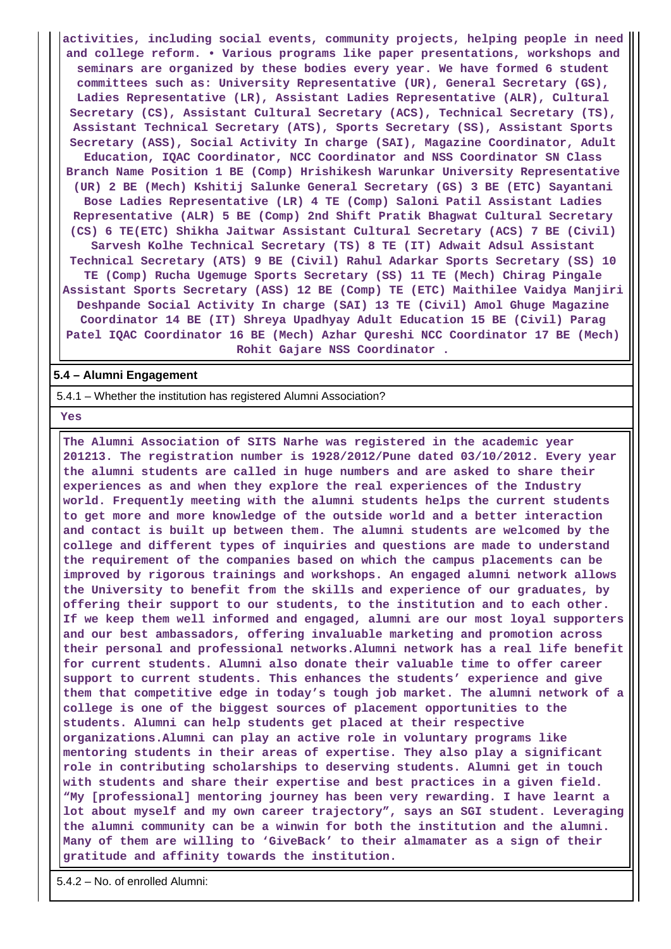**activities, including social events, community projects, helping people in need and college reform. • Various programs like paper presentations, workshops and seminars are organized by these bodies every year. We have formed 6 student committees such as: University Representative (UR), General Secretary (GS), Ladies Representative (LR), Assistant Ladies Representative (ALR), Cultural Secretary (CS), Assistant Cultural Secretary (ACS), Technical Secretary (TS), Assistant Technical Secretary (ATS), Sports Secretary (SS), Assistant Sports Secretary (ASS), Social Activity In charge (SAI), Magazine Coordinator, Adult Education, IQAC Coordinator, NCC Coordinator and NSS Coordinator SN Class Branch Name Position 1 BE (Comp) Hrishikesh Warunkar University Representative (UR) 2 BE (Mech) Kshitij Salunke General Secretary (GS) 3 BE (ETC) Sayantani Bose Ladies Representative (LR) 4 TE (Comp) Saloni Patil Assistant Ladies Representative (ALR) 5 BE (Comp) 2nd Shift Pratik Bhagwat Cultural Secretary (CS) 6 TE(ETC) Shikha Jaitwar Assistant Cultural Secretary (ACS) 7 BE (Civil) Sarvesh Kolhe Technical Secretary (TS) 8 TE (IT) Adwait Adsul Assistant Technical Secretary (ATS) 9 BE (Civil) Rahul Adarkar Sports Secretary (SS) 10 TE (Comp) Rucha Ugemuge Sports Secretary (SS) 11 TE (Mech) Chirag Pingale Assistant Sports Secretary (ASS) 12 BE (Comp) TE (ETC) Maithilee Vaidya Manjiri Deshpande Social Activity In charge (SAI) 13 TE (Civil) Amol Ghuge Magazine Coordinator 14 BE (IT) Shreya Upadhyay Adult Education 15 BE (Civil) Parag Patel IQAC Coordinator 16 BE (Mech) Azhar Qureshi NCC Coordinator 17 BE (Mech) Rohit Gajare NSS Coordinator .**

#### **5.4 – Alumni Engagement**

5.4.1 – Whether the institution has registered Alumni Association?

 **Yes**

 **The Alumni Association of SITS Narhe was registered in the academic year 201213. The registration number is 1928/2012/Pune dated 03/10/2012. Every year the alumni students are called in huge numbers and are asked to share their experiences as and when they explore the real experiences of the Industry world. Frequently meeting with the alumni students helps the current students to get more and more knowledge of the outside world and a better interaction and contact is built up between them. The alumni students are welcomed by the college and different types of inquiries and questions are made to understand the requirement of the companies based on which the campus placements can be improved by rigorous trainings and workshops. An engaged alumni network allows the University to benefit from the skills and experience of our graduates, by offering their support to our students, to the institution and to each other. If we keep them well informed and engaged, alumni are our most loyal supporters and our best ambassadors, offering invaluable marketing and promotion across their personal and professional networks.Alumni network has a real life benefit for current students. Alumni also donate their valuable time to offer career support to current students. This enhances the students' experience and give them that competitive edge in today's tough job market. The alumni network of a college is one of the biggest sources of placement opportunities to the students. Alumni can help students get placed at their respective organizations.Alumni can play an active role in voluntary programs like mentoring students in their areas of expertise. They also play a significant role in contributing scholarships to deserving students. Alumni get in touch with students and share their expertise and best practices in a given field. "My [professional] mentoring journey has been very rewarding. I have learnt a lot about myself and my own career trajectory", says an SGI student. Leveraging the alumni community can be a winwin for both the institution and the alumni. Many of them are willing to 'GiveBack' to their almamater as a sign of their gratitude and affinity towards the institution.**

5.4.2 – No. of enrolled Alumni: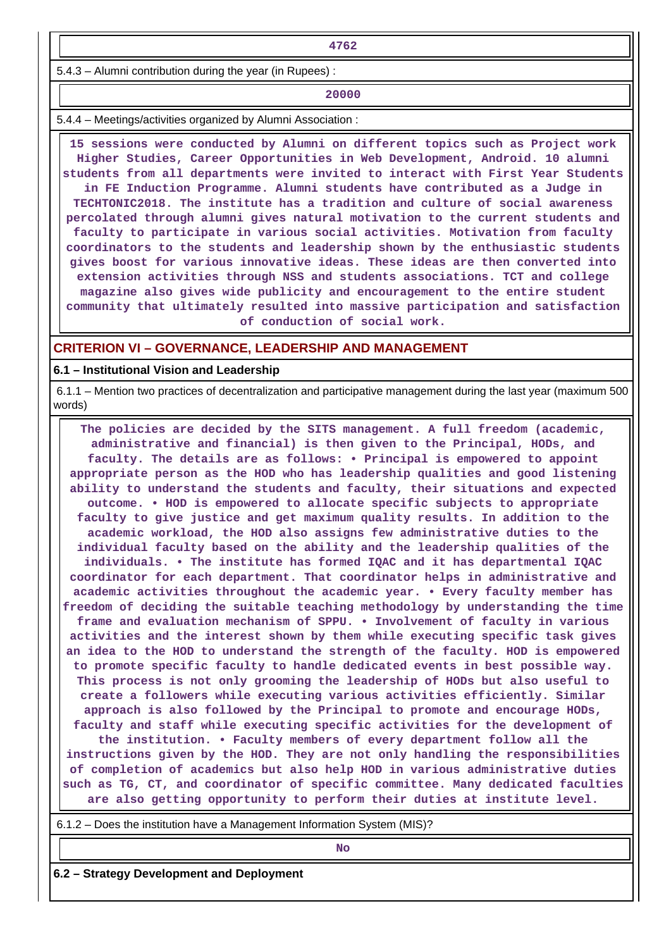**4762**

5.4.3 – Alumni contribution during the year (in Rupees) :

**20000** 

5.4.4 – Meetings/activities organized by Alumni Association :

 **15 sessions were conducted by Alumni on different topics such as Project work Higher Studies, Career Opportunities in Web Development, Android. 10 alumni students from all departments were invited to interact with First Year Students in FE Induction Programme. Alumni students have contributed as a Judge in TECHTONIC2018. The institute has a tradition and culture of social awareness percolated through alumni gives natural motivation to the current students and faculty to participate in various social activities. Motivation from faculty coordinators to the students and leadership shown by the enthusiastic students gives boost for various innovative ideas. These ideas are then converted into extension activities through NSS and students associations. TCT and college magazine also gives wide publicity and encouragement to the entire student community that ultimately resulted into massive participation and satisfaction of conduction of social work.**

#### **CRITERION VI – GOVERNANCE, LEADERSHIP AND MANAGEMENT**

**6.1 – Institutional Vision and Leadership**

 6.1.1 – Mention two practices of decentralization and participative management during the last year (maximum 500 words)

 **The policies are decided by the SITS management. A full freedom (academic, administrative and financial) is then given to the Principal, HODs, and faculty. The details are as follows: • Principal is empowered to appoint appropriate person as the HOD who has leadership qualities and good listening ability to understand the students and faculty, their situations and expected outcome. • HOD is empowered to allocate specific subjects to appropriate faculty to give justice and get maximum quality results. In addition to the academic workload, the HOD also assigns few administrative duties to the individual faculty based on the ability and the leadership qualities of the individuals. • The institute has formed IQAC and it has departmental IQAC coordinator for each department. That coordinator helps in administrative and academic activities throughout the academic year. • Every faculty member has freedom of deciding the suitable teaching methodology by understanding the time frame and evaluation mechanism of SPPU. • Involvement of faculty in various activities and the interest shown by them while executing specific task gives an idea to the HOD to understand the strength of the faculty. HOD is empowered to promote specific faculty to handle dedicated events in best possible way. This process is not only grooming the leadership of HODs but also useful to create a followers while executing various activities efficiently. Similar approach is also followed by the Principal to promote and encourage HODs, faculty and staff while executing specific activities for the development of the institution. • Faculty members of every department follow all the instructions given by the HOD. They are not only handling the responsibilities of completion of academics but also help HOD in various administrative duties such as TG, CT, and coordinator of specific committee. Many dedicated faculties**

**are also getting opportunity to perform their duties at institute level.**

6.1.2 – Does the institution have a Management Information System (MIS)?

**No. 2. In the case of the case of the case of the case of the case of the case of the case of the case of the case of the case of the case of the case of the case of the case of the case of the case of the case of the cas** 

**6.2 – Strategy Development and Deployment**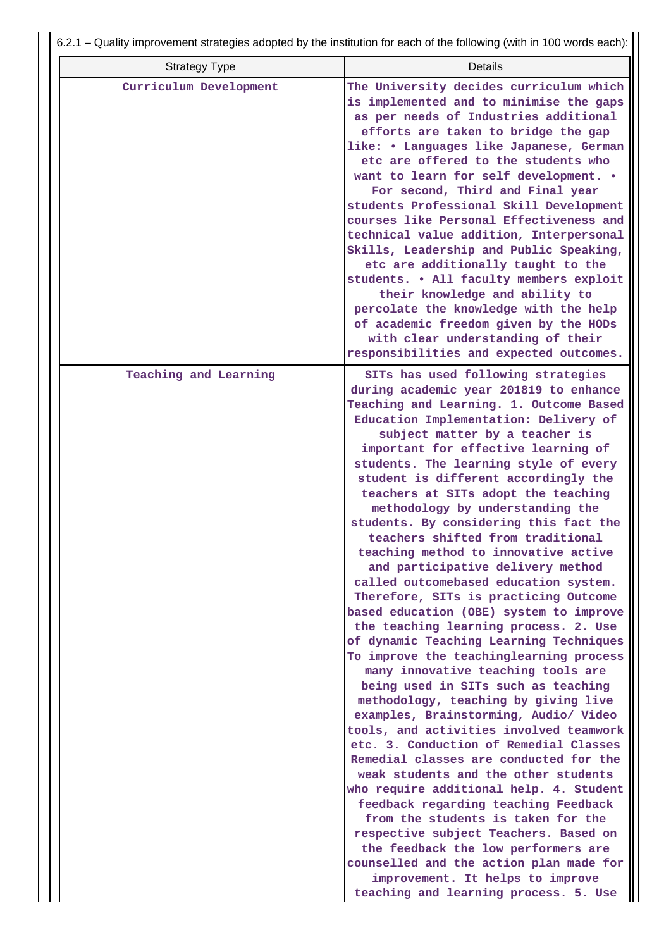|                        | 6.2.1 – Quality improvement strategies adopted by the institution for each of the following (with in 100 words each):                                                                                                                                                                                                                                                                                                                                                                                                                                                                                                                                                                                                                                                                                                                                                                                                                                                                                                                                                                                                                                                                                                                                                                                                                                                                                                                                                                               |
|------------------------|-----------------------------------------------------------------------------------------------------------------------------------------------------------------------------------------------------------------------------------------------------------------------------------------------------------------------------------------------------------------------------------------------------------------------------------------------------------------------------------------------------------------------------------------------------------------------------------------------------------------------------------------------------------------------------------------------------------------------------------------------------------------------------------------------------------------------------------------------------------------------------------------------------------------------------------------------------------------------------------------------------------------------------------------------------------------------------------------------------------------------------------------------------------------------------------------------------------------------------------------------------------------------------------------------------------------------------------------------------------------------------------------------------------------------------------------------------------------------------------------------------|
| <b>Strategy Type</b>   | <b>Details</b>                                                                                                                                                                                                                                                                                                                                                                                                                                                                                                                                                                                                                                                                                                                                                                                                                                                                                                                                                                                                                                                                                                                                                                                                                                                                                                                                                                                                                                                                                      |
| Curriculum Development | The University decides curriculum which<br>is implemented and to minimise the gaps<br>as per needs of Industries additional<br>efforts are taken to bridge the gap<br>like: • Languages like Japanese, German<br>etc are offered to the students who<br>want to learn for self development. .<br>For second, Third and Final year<br>students Professional Skill Development<br>courses like Personal Effectiveness and<br>technical value addition, Interpersonal<br>Skills, Leadership and Public Speaking,<br>etc are additionally taught to the<br>students. . All faculty members exploit<br>their knowledge and ability to<br>percolate the knowledge with the help<br>of academic freedom given by the HODs<br>with clear understanding of their<br>responsibilities and expected outcomes.                                                                                                                                                                                                                                                                                                                                                                                                                                                                                                                                                                                                                                                                                                  |
| Teaching and Learning  | SITs has used following strategies<br>during academic year 201819 to enhance<br>Teaching and Learning. 1. Outcome Based<br>Education Implementation: Delivery of<br>subject matter by a teacher is<br>important for effective learning of<br>students. The learning style of every<br>student is different accordingly the<br>teachers at SITs adopt the teaching<br>methodology by understanding the<br>students. By considering this fact the<br>teachers shifted from traditional<br>teaching method to innovative active<br>and participative delivery method<br>called outcomebased education system.<br>Therefore, SITs is practicing Outcome<br>based education (OBE) system to improve<br>the teaching learning process. 2. Use<br>of dynamic Teaching Learning Techniques<br>To improve the teachinglearning process<br>many innovative teaching tools are<br>being used in SITs such as teaching<br>methodology, teaching by giving live<br>examples, Brainstorming, Audio/ Video<br>tools, and activities involved teamwork<br>etc. 3. Conduction of Remedial Classes<br>Remedial classes are conducted for the<br>weak students and the other students<br>who require additional help. 4. Student<br>feedback regarding teaching Feedback<br>from the students is taken for the<br>respective subject Teachers. Based on<br>the feedback the low performers are<br>counselled and the action plan made for<br>improvement. It helps to improve<br>teaching and learning process. 5. Use |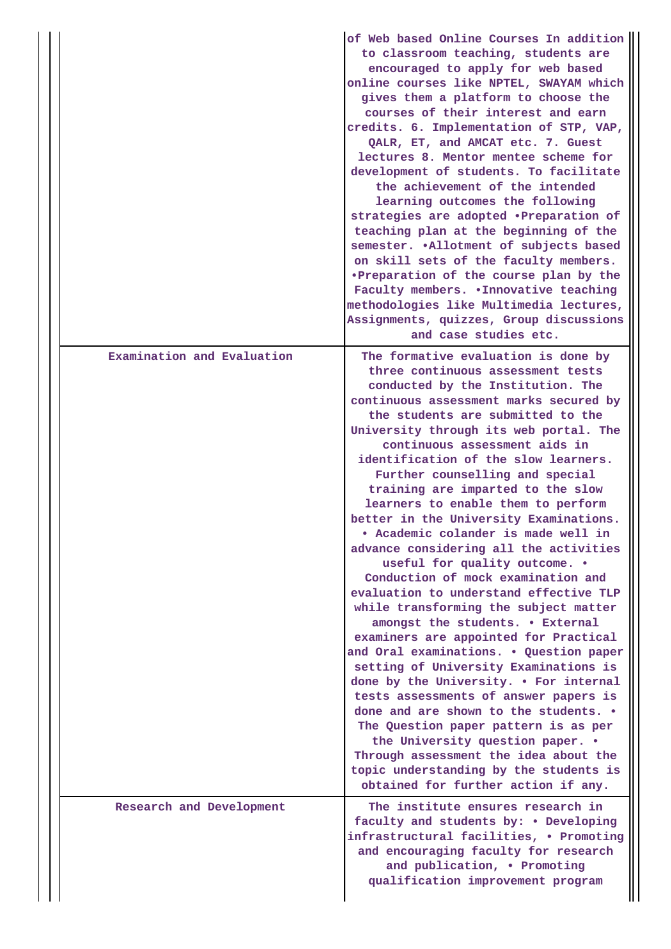|                            | of Web based Online Courses In addition<br>to classroom teaching, students are<br>encouraged to apply for web based<br>online courses like NPTEL, SWAYAM which<br>gives them a platform to choose the<br>courses of their interest and earn<br>credits. 6. Implementation of STP, VAP,<br>QALR, ET, and AMCAT etc. 7. Guest<br>lectures 8. Mentor mentee scheme for<br>development of students. To facilitate<br>the achievement of the intended<br>learning outcomes the following<br>strategies are adopted .Preparation of<br>teaching plan at the beginning of the<br>semester. . Allotment of subjects based<br>on skill sets of the faculty members.<br>.Preparation of the course plan by the<br>Faculty members. . Innovative teaching<br>methodologies like Multimedia lectures,<br>Assignments, quizzes, Group discussions<br>and case studies etc.                                                                                                                                                                                                                                                                                                                                                         |
|----------------------------|-----------------------------------------------------------------------------------------------------------------------------------------------------------------------------------------------------------------------------------------------------------------------------------------------------------------------------------------------------------------------------------------------------------------------------------------------------------------------------------------------------------------------------------------------------------------------------------------------------------------------------------------------------------------------------------------------------------------------------------------------------------------------------------------------------------------------------------------------------------------------------------------------------------------------------------------------------------------------------------------------------------------------------------------------------------------------------------------------------------------------------------------------------------------------------------------------------------------------|
| Examination and Evaluation | The formative evaluation is done by<br>three continuous assessment tests<br>conducted by the Institution. The<br>continuous assessment marks secured by<br>the students are submitted to the<br>University through its web portal. The<br>continuous assessment aids in<br>identification of the slow learners.<br>Further counselling and special<br>training are imparted to the slow<br>learners to enable them to perform<br>better in the University Examinations.<br>· Academic colander is made well in<br>advance considering all the activities<br>useful for quality outcome. .<br>Conduction of mock examination and<br>evaluation to understand effective TLP<br>while transforming the subject matter<br>amongst the students. . External<br>examiners are appointed for Practical<br>and Oral examinations. . Question paper<br>setting of University Examinations is<br>done by the University. . For internal<br>tests assessments of answer papers is<br>done and are shown to the students. .<br>The Question paper pattern is as per<br>the University question paper. .<br>Through assessment the idea about the<br>topic understanding by the students is<br>obtained for further action if any. |
| Research and Development   | The institute ensures research in<br>faculty and students by: . Developing<br>infrastructural facilities, . Promoting<br>and encouraging faculty for research<br>and publication, . Promoting<br>qualification improvement program                                                                                                                                                                                                                                                                                                                                                                                                                                                                                                                                                                                                                                                                                                                                                                                                                                                                                                                                                                                    |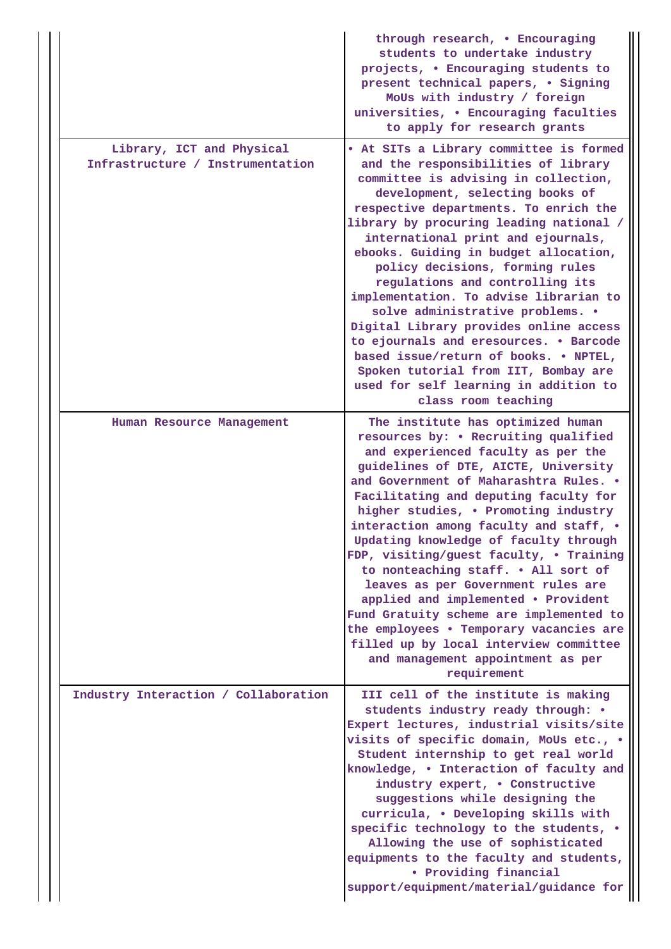|                                                               | through research, . Encouraging<br>students to undertake industry<br>projects, . Encouraging students to<br>present technical papers, . Signing<br>MoUs with industry / foreign<br>universities, . Encouraging faculties<br>to apply for research grants                                                                                                                                                                                                                                                                                                                                                                                                                                                                 |
|---------------------------------------------------------------|--------------------------------------------------------------------------------------------------------------------------------------------------------------------------------------------------------------------------------------------------------------------------------------------------------------------------------------------------------------------------------------------------------------------------------------------------------------------------------------------------------------------------------------------------------------------------------------------------------------------------------------------------------------------------------------------------------------------------|
| Library, ICT and Physical<br>Infrastructure / Instrumentation | . At SITs a Library committee is formed<br>and the responsibilities of library<br>committee is advising in collection,<br>development, selecting books of<br>respective departments. To enrich the<br>library by procuring leading national /<br>international print and ejournals,<br>ebooks. Guiding in budget allocation,<br>policy decisions, forming rules<br>regulations and controlling its<br>implementation. To advise librarian to<br>solve administrative problems. .<br>Digital Library provides online access<br>to ejournals and eresources. . Barcode<br>based issue/return of books. . NPTEL,<br>Spoken tutorial from IIT, Bombay are<br>used for self learning in addition to<br>class room teaching    |
| Human Resource Management                                     | The institute has optimized human<br>resources by: . Recruiting qualified<br>and experienced faculty as per the<br>guidelines of DTE, AICTE, University<br>and Government of Maharashtra Rules. .<br>Facilitating and deputing faculty for<br>higher studies, . Promoting industry<br>interaction among faculty and staff, .<br>Updating knowledge of faculty through<br>FDP, visiting/guest faculty, . Training<br>to nonteaching staff. . All sort of<br>leaves as per Government rules are<br>applied and implemented . Provident<br>Fund Gratuity scheme are implemented to<br>the employees . Temporary vacancies are<br>filled up by local interview committee<br>and management appointment as per<br>requirement |
| Industry Interaction / Collaboration                          | III cell of the institute is making<br>students industry ready through: .<br>Expert lectures, industrial visits/site<br>visits of specific domain, MoUs etc., .<br>Student internship to get real world<br>knowledge, . Interaction of faculty and<br>industry expert, . Constructive<br>suggestions while designing the<br>curricula, . Developing skills with<br>specific technology to the students, .<br>Allowing the use of sophisticated<br>equipments to the faculty and students,<br>• Providing financial<br>support/equipment/material/guidance for                                                                                                                                                            |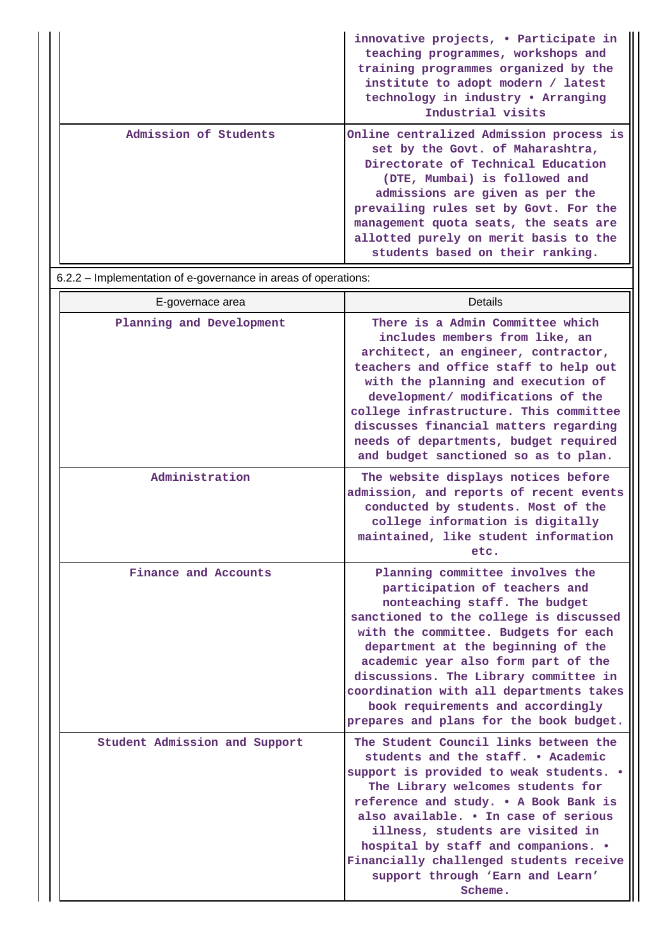|                       | innovative projects, • Participate in<br>teaching programmes, workshops and<br>training programmes organized by the<br>institute to adopt modern / latest<br>technology in industry • Arranging<br>Industrial visits                                                                                                                                 |
|-----------------------|------------------------------------------------------------------------------------------------------------------------------------------------------------------------------------------------------------------------------------------------------------------------------------------------------------------------------------------------------|
| Admission of Students | Online centralized Admission process is<br>set by the Govt. of Maharashtra,<br>Directorate of Technical Education<br>(DTE, Mumbai) is followed and<br>admissions are given as per the<br>prevailing rules set by Govt. For the<br>management quota seats, the seats are<br>allotted purely on merit basis to the<br>students based on their ranking. |

6.2.2 – Implementation of e-governance in areas of operations:

| E-governace area              | Details                                                                                                                                                                                                                                                                                                                                                                                                                              |
|-------------------------------|--------------------------------------------------------------------------------------------------------------------------------------------------------------------------------------------------------------------------------------------------------------------------------------------------------------------------------------------------------------------------------------------------------------------------------------|
| Planning and Development      | There is a Admin Committee which<br>includes members from like, an<br>architect, an engineer, contractor,<br>teachers and office staff to help out<br>with the planning and execution of<br>development/ modifications of the<br>college infrastructure. This committee<br>discusses financial matters regarding<br>needs of departments, budget required<br>and budget sanctioned so as to plan.                                    |
| Administration                | The website displays notices before<br>admission, and reports of recent events<br>conducted by students. Most of the<br>college information is digitally<br>maintained, like student information<br>etc.                                                                                                                                                                                                                             |
| Finance and Accounts          | Planning committee involves the<br>participation of teachers and<br>nonteaching staff. The budget<br>sanctioned to the college is discussed<br>with the committee. Budgets for each<br>department at the beginning of the<br>academic year also form part of the<br>discussions. The Library committee in<br>coordination with all departments takes<br>book requirements and accordingly<br>prepares and plans for the book budget. |
| Student Admission and Support | The Student Council links between the<br>students and the staff. . Academic<br>support is provided to weak students. .<br>The Library welcomes students for<br>reference and study. . A Book Bank is<br>also available. . In case of serious<br>illness, students are visited in<br>hospital by staff and companions. .<br>Financially challenged students receive<br>support through 'Earn and Learn'<br>Scheme.                    |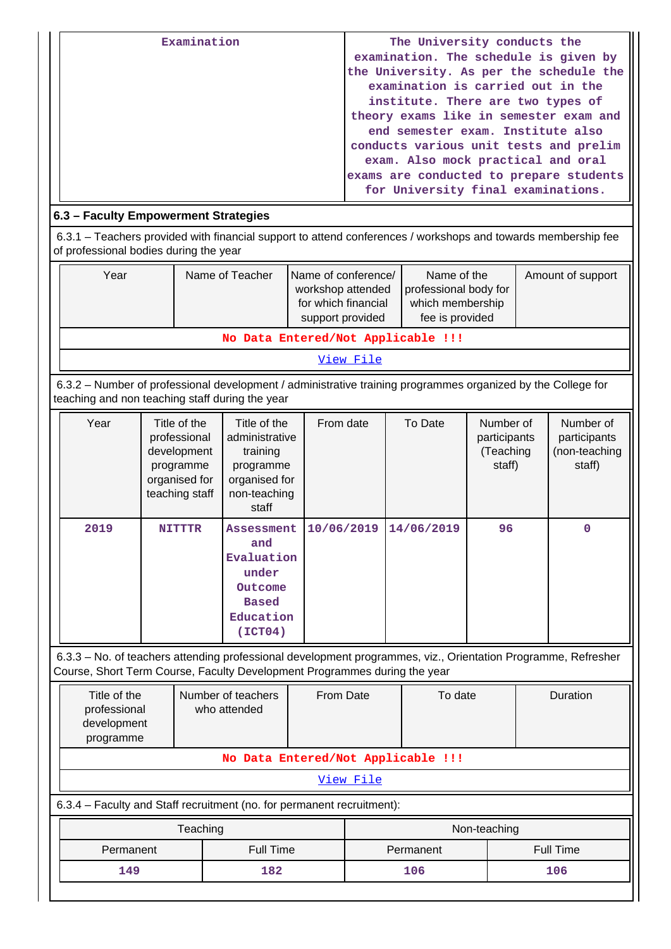| Examination | The University conducts the             |
|-------------|-----------------------------------------|
|             | examination. The schedule is given by   |
|             | the University. As per the schedule the |
|             | examination is carried out in the       |
|             | institute. There are two types of       |
|             | theory exams like in semester exam and  |
|             | end semester exam. Institute also       |
|             | conducts various unit tests and prelim  |
|             | exam. Also mock practical and oral      |
|             | exams are conducted to prepare students |
|             | for University final examinations.      |
|             |                                         |

# **6.3 – Faculty Empowerment Strategies**

 6.3.1 – Teachers provided with financial support to attend conferences / workshops and towards membership fee of professional bodies during the year

| Year                               | Name of Teacher | Name of conference/<br>workshop attended<br>for which financial<br>support provided | Name of the<br>professional body for<br>which membership<br>fee is provided | Amount of support |  |  |
|------------------------------------|-----------------|-------------------------------------------------------------------------------------|-----------------------------------------------------------------------------|-------------------|--|--|
| No Data Entered/Not Applicable !!! |                 |                                                                                     |                                                                             |                   |  |  |

[View File](https://assessmentonline.naac.gov.in/public/Postacc/Faculty_Emp/1287_Faculty_Emp_1570621615.xls)

 6.3.2 – Number of professional development / administrative training programmes organized by the College for teaching and non teaching staff during the year

| Year | Title of the<br>professional<br>development<br>programme<br>organised for<br>teaching staff | Title of the<br>administrative<br>training<br>programme<br>organised for<br>non-teaching<br>staff  | From date  | To Date    | Number of<br>participants<br>(Teaching<br>staff) | Number of<br>participants<br>(non-teaching<br>staff) |
|------|---------------------------------------------------------------------------------------------|----------------------------------------------------------------------------------------------------|------------|------------|--------------------------------------------------|------------------------------------------------------|
| 2019 | <b>NITTTR</b>                                                                               | <b>Assessment</b><br>and<br>Evaluation<br>under<br>Outcome<br><b>Based</b><br>Education<br>(TCT04) | 10/06/2019 | 14/06/2019 | 96                                               | $\mathbf 0$                                          |

 6.3.3 – No. of teachers attending professional development programmes, viz., Orientation Programme, Refresher Course, Short Term Course, Faculty Development Programmes during the year

| Number of teachers<br>who attended | From Date | To date | <b>Duration</b>                                                                                     |  |  |  |
|------------------------------------|-----------|---------|-----------------------------------------------------------------------------------------------------|--|--|--|
| No Data Entered/Not Applicable !!! |           |         |                                                                                                     |  |  |  |
| View File                          |           |         |                                                                                                     |  |  |  |
|                                    |           |         |                                                                                                     |  |  |  |
| Teaching                           |           |         |                                                                                                     |  |  |  |
| <b>Full Time</b><br>Permanent      |           |         | <b>Full Time</b>                                                                                    |  |  |  |
| 149<br>182                         |           | 106     | 106                                                                                                 |  |  |  |
|                                    |           |         | 6.3.4 – Faculty and Staff recruitment (no. for permanent recruitment):<br>Non-teaching<br>Permanent |  |  |  |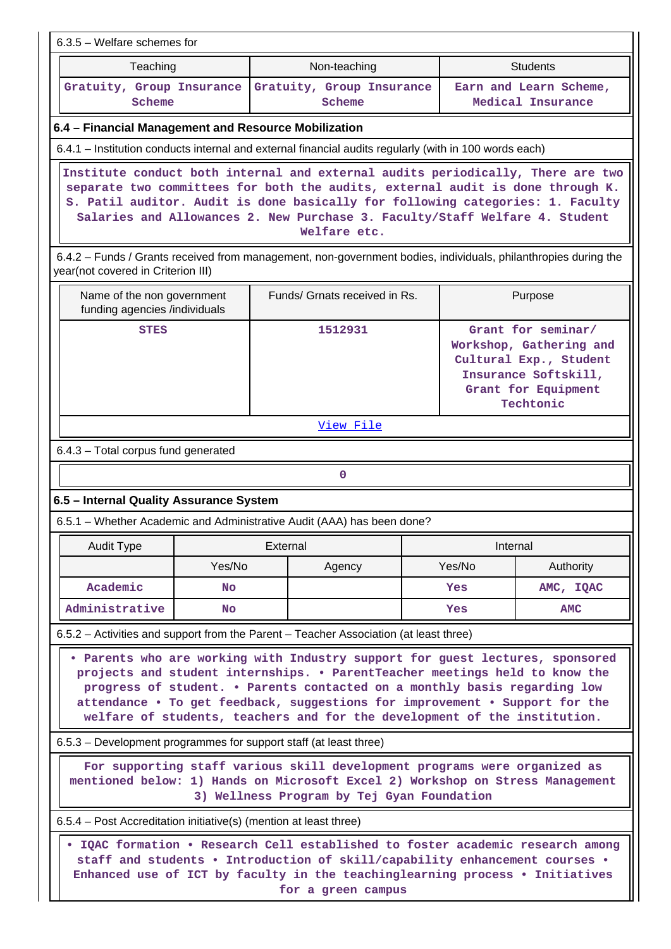| 6.3.5 - Welfare schemes for                                                                                                                                                                                                                                                                                                                                                                           |                                                                                                                                                                                                                                                                                                                                                    |                                     |  |                                                                                                                                     |                                             |  |  |
|-------------------------------------------------------------------------------------------------------------------------------------------------------------------------------------------------------------------------------------------------------------------------------------------------------------------------------------------------------------------------------------------------------|----------------------------------------------------------------------------------------------------------------------------------------------------------------------------------------------------------------------------------------------------------------------------------------------------------------------------------------------------|-------------------------------------|--|-------------------------------------------------------------------------------------------------------------------------------------|---------------------------------------------|--|--|
| Teaching                                                                                                                                                                                                                                                                                                                                                                                              | Non-teaching<br><b>Students</b>                                                                                                                                                                                                                                                                                                                    |                                     |  |                                                                                                                                     |                                             |  |  |
| Gratuity, Group Insurance<br>Scheme                                                                                                                                                                                                                                                                                                                                                                   |                                                                                                                                                                                                                                                                                                                                                    | Gratuity, Group Insurance<br>Scheme |  |                                                                                                                                     | Earn and Learn Scheme,<br>Medical Insurance |  |  |
| 6.4 - Financial Management and Resource Mobilization                                                                                                                                                                                                                                                                                                                                                  |                                                                                                                                                                                                                                                                                                                                                    |                                     |  |                                                                                                                                     |                                             |  |  |
| 6.4.1 - Institution conducts internal and external financial audits regularly (with in 100 words each)                                                                                                                                                                                                                                                                                                |                                                                                                                                                                                                                                                                                                                                                    |                                     |  |                                                                                                                                     |                                             |  |  |
|                                                                                                                                                                                                                                                                                                                                                                                                       | Institute conduct both internal and external audits periodically, There are two<br>separate two committees for both the audits, external audit is done through K.<br>S. Patil auditor. Audit is done basically for following categories: 1. Faculty<br>Salaries and Allowances 2. New Purchase 3. Faculty/Staff Welfare 4. Student<br>Welfare etc. |                                     |  |                                                                                                                                     |                                             |  |  |
| 6.4.2 – Funds / Grants received from management, non-government bodies, individuals, philanthropies during the<br>year(not covered in Criterion III)                                                                                                                                                                                                                                                  |                                                                                                                                                                                                                                                                                                                                                    |                                     |  |                                                                                                                                     |                                             |  |  |
| Name of the non government<br>funding agencies /individuals                                                                                                                                                                                                                                                                                                                                           |                                                                                                                                                                                                                                                                                                                                                    | Funds/ Grnats received in Rs.       |  |                                                                                                                                     | Purpose                                     |  |  |
| <b>STES</b>                                                                                                                                                                                                                                                                                                                                                                                           |                                                                                                                                                                                                                                                                                                                                                    | 1512931                             |  | Grant for seminar/<br>Workshop, Gathering and<br>Cultural Exp., Student<br>Insurance Softskill,<br>Grant for Equipment<br>Techtonic |                                             |  |  |
|                                                                                                                                                                                                                                                                                                                                                                                                       |                                                                                                                                                                                                                                                                                                                                                    | View File                           |  |                                                                                                                                     |                                             |  |  |
| 6.4.3 - Total corpus fund generated                                                                                                                                                                                                                                                                                                                                                                   |                                                                                                                                                                                                                                                                                                                                                    |                                     |  |                                                                                                                                     |                                             |  |  |
|                                                                                                                                                                                                                                                                                                                                                                                                       |                                                                                                                                                                                                                                                                                                                                                    | $\mathbf 0$                         |  |                                                                                                                                     |                                             |  |  |
| 6.5 - Internal Quality Assurance System                                                                                                                                                                                                                                                                                                                                                               |                                                                                                                                                                                                                                                                                                                                                    |                                     |  |                                                                                                                                     |                                             |  |  |
| 6.5.1 - Whether Academic and Administrative Audit (AAA) has been done?                                                                                                                                                                                                                                                                                                                                |                                                                                                                                                                                                                                                                                                                                                    |                                     |  |                                                                                                                                     |                                             |  |  |
| Audit Type                                                                                                                                                                                                                                                                                                                                                                                            | External                                                                                                                                                                                                                                                                                                                                           |                                     |  | Internal                                                                                                                            |                                             |  |  |
| Yes/No                                                                                                                                                                                                                                                                                                                                                                                                |                                                                                                                                                                                                                                                                                                                                                    | Agency                              |  | Yes/No                                                                                                                              | Authority                                   |  |  |
| Academic<br><b>No</b>                                                                                                                                                                                                                                                                                                                                                                                 |                                                                                                                                                                                                                                                                                                                                                    |                                     |  | <b>Yes</b>                                                                                                                          | AMC, IQAC                                   |  |  |
| Administrative<br><b>No</b>                                                                                                                                                                                                                                                                                                                                                                           |                                                                                                                                                                                                                                                                                                                                                    |                                     |  | Yes                                                                                                                                 | AMC                                         |  |  |
| 6.5.2 – Activities and support from the Parent – Teacher Association (at least three)                                                                                                                                                                                                                                                                                                                 |                                                                                                                                                                                                                                                                                                                                                    |                                     |  |                                                                                                                                     |                                             |  |  |
| . Parents who are working with Industry support for guest lectures, sponsored<br>projects and student internships. . ParentTeacher meetings held to know the<br>progress of student. . Parents contacted on a monthly basis regarding low<br>attendance . To get feedback, suggestions for improvement . Support for the<br>welfare of students, teachers and for the development of the institution. |                                                                                                                                                                                                                                                                                                                                                    |                                     |  |                                                                                                                                     |                                             |  |  |
| 6.5.3 – Development programmes for support staff (at least three)                                                                                                                                                                                                                                                                                                                                     |                                                                                                                                                                                                                                                                                                                                                    |                                     |  |                                                                                                                                     |                                             |  |  |
| For supporting staff various skill development programs were organized as<br>mentioned below: 1) Hands on Microsoft Excel 2) Workshop on Stress Management<br>3) Wellness Program by Tej Gyan Foundation                                                                                                                                                                                              |                                                                                                                                                                                                                                                                                                                                                    |                                     |  |                                                                                                                                     |                                             |  |  |
| 6.5.4 – Post Accreditation initiative(s) (mention at least three)                                                                                                                                                                                                                                                                                                                                     |                                                                                                                                                                                                                                                                                                                                                    |                                     |  |                                                                                                                                     |                                             |  |  |
| . IQAC formation . Research Cell established to foster academic research among<br>staff and students . Introduction of skill/capability enhancement courses .<br>Enhanced use of ICT by faculty in the teachinglearning process . Initiatives<br>for a green campus                                                                                                                                   |                                                                                                                                                                                                                                                                                                                                                    |                                     |  |                                                                                                                                     |                                             |  |  |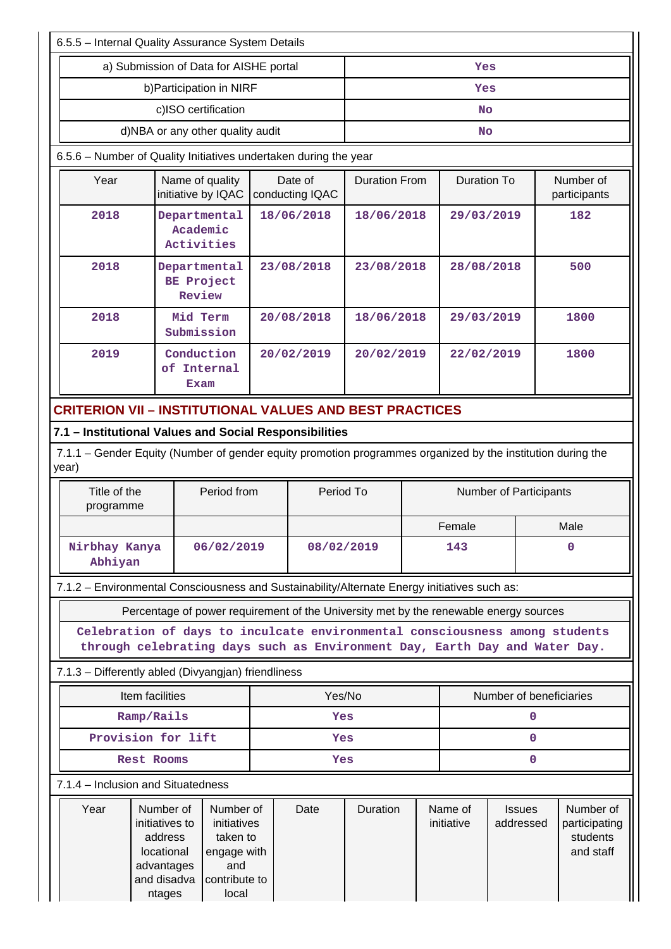| 6.5.5 - Internal Quality Assurance System Details                                                                    |                                                                                             |                                                                                                                                                           |            |                            |                      |                        |                       |                            |                                                     |  |
|----------------------------------------------------------------------------------------------------------------------|---------------------------------------------------------------------------------------------|-----------------------------------------------------------------------------------------------------------------------------------------------------------|------------|----------------------------|----------------------|------------------------|-----------------------|----------------------------|-----------------------------------------------------|--|
|                                                                                                                      |                                                                                             | a) Submission of Data for AISHE portal                                                                                                                    |            | Yes                        |                      |                        |                       |                            |                                                     |  |
|                                                                                                                      |                                                                                             | b) Participation in NIRF                                                                                                                                  |            |                            | Yes                  |                        |                       |                            |                                                     |  |
|                                                                                                                      |                                                                                             | c)ISO certification                                                                                                                                       |            |                            | <b>No</b>            |                        |                       |                            |                                                     |  |
|                                                                                                                      | d)NBA or any other quality audit                                                            |                                                                                                                                                           |            |                            |                      |                        | No                    |                            |                                                     |  |
|                                                                                                                      | 6.5.6 - Number of Quality Initiatives undertaken during the year                            |                                                                                                                                                           |            |                            |                      |                        |                       |                            |                                                     |  |
| Year                                                                                                                 |                                                                                             | Name of quality<br>initiative by IQAC                                                                                                                     |            | Date of<br>conducting IQAC | <b>Duration From</b> |                        | <b>Duration To</b>    |                            | Number of<br>participants                           |  |
| 2018                                                                                                                 |                                                                                             | Departmental<br>Academic<br>Activities                                                                                                                    |            | 18/06/2018                 | 18/06/2018           |                        | 29/03/2019            |                            | 182                                                 |  |
| 2018                                                                                                                 |                                                                                             | Departmental<br>BE Project<br>Review                                                                                                                      |            | 23/08/2018                 | 23/08/2018           |                        | 28/08/2018            |                            | 500                                                 |  |
| 2018                                                                                                                 |                                                                                             | Mid Term<br>Submission                                                                                                                                    |            | 20/08/2018                 | 18/06/2018           |                        | 29/03/2019            |                            | 1800                                                |  |
| 2019                                                                                                                 |                                                                                             | Conduction<br>of Internal<br>Exam                                                                                                                         |            | 20/02/2019                 | 20/02/2019           |                        | 22/02/2019            |                            | 1800                                                |  |
| <b>CRITERION VII - INSTITUTIONAL VALUES AND BEST PRACTICES</b>                                                       |                                                                                             |                                                                                                                                                           |            |                            |                      |                        |                       |                            |                                                     |  |
| 7.1 - Institutional Values and Social Responsibilities                                                               |                                                                                             |                                                                                                                                                           |            |                            |                      |                        |                       |                            |                                                     |  |
| 7.1.1 – Gender Equity (Number of gender equity promotion programmes organized by the institution during the<br>year) |                                                                                             |                                                                                                                                                           |            |                            |                      |                        |                       |                            |                                                     |  |
| Title of the<br>programme                                                                                            |                                                                                             | Period from                                                                                                                                               | Period To  |                            |                      | Number of Participants |                       |                            |                                                     |  |
|                                                                                                                      |                                                                                             |                                                                                                                                                           |            |                            |                      |                        | Female                |                            | Male                                                |  |
| Nirbhay Kanya<br>Abhiyan                                                                                             |                                                                                             | 06/02/2019                                                                                                                                                | 08/02/2019 |                            | 143                  |                        | $\mathbf 0$           |                            |                                                     |  |
| 7.1.2 - Environmental Consciousness and Sustainability/Alternate Energy initiatives such as:                         |                                                                                             |                                                                                                                                                           |            |                            |                      |                        |                       |                            |                                                     |  |
|                                                                                                                      |                                                                                             | Percentage of power requirement of the University met by the renewable energy sources                                                                     |            |                            |                      |                        |                       |                            |                                                     |  |
|                                                                                                                      |                                                                                             | Celebration of days to inculcate environmental consciousness among students<br>through celebrating days such as Environment Day, Earth Day and Water Day. |            |                            |                      |                        |                       |                            |                                                     |  |
| 7.1.3 - Differently abled (Divyangian) friendliness                                                                  |                                                                                             |                                                                                                                                                           |            |                            |                      |                        |                       |                            |                                                     |  |
|                                                                                                                      | Item facilities                                                                             |                                                                                                                                                           |            | Yes/No                     |                      |                        |                       | Number of beneficiaries    |                                                     |  |
|                                                                                                                      | Ramp/Rails                                                                                  |                                                                                                                                                           |            | Yes                        |                      |                        |                       | 0                          |                                                     |  |
|                                                                                                                      | Provision for lift                                                                          |                                                                                                                                                           |            | Yes                        |                      |                        |                       | $\mathbf{0}$               |                                                     |  |
| <b>Rest Rooms</b>                                                                                                    |                                                                                             |                                                                                                                                                           |            |                            | Yes                  |                        |                       | $\mathbf 0$                |                                                     |  |
| 7.1.4 – Inclusion and Situatedness                                                                                   |                                                                                             |                                                                                                                                                           |            |                            |                      |                        |                       |                            |                                                     |  |
| Year                                                                                                                 | Number of<br>initiatives to<br>address<br>locational<br>advantages<br>and disadva<br>ntages | Number of<br>initiatives<br>taken to<br>engage with<br>and<br>contribute to<br>local                                                                      |            | Date                       | Duration             |                        | Name of<br>initiative | <b>Issues</b><br>addressed | Number of<br>participating<br>students<br>and staff |  |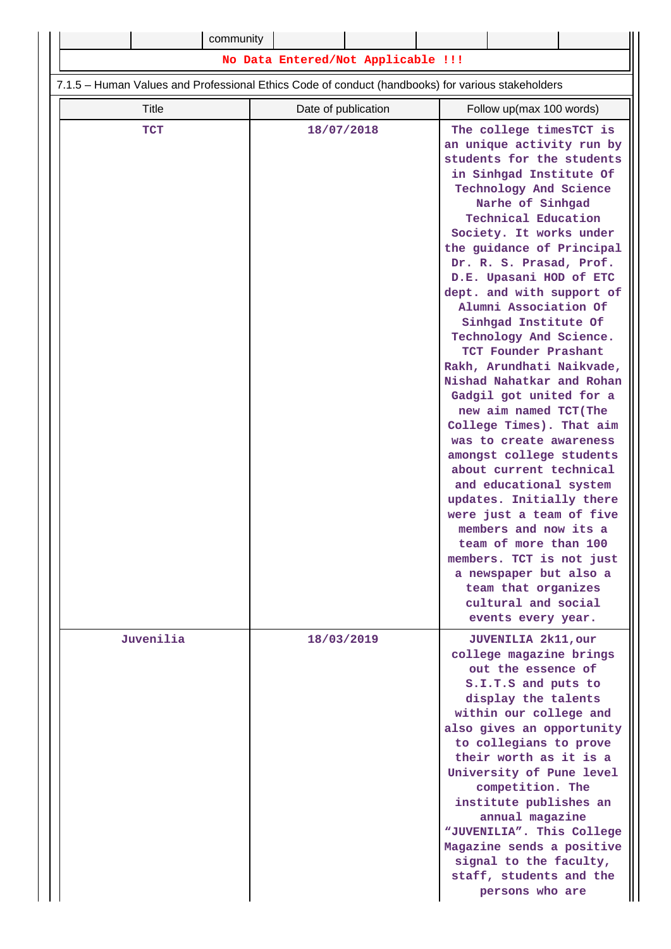| community                                                                                         |                                    |                                                                                                                                                                                                                                                                                                                                                                                                                                                                                                                                                                                                                                                                                                                                                                                                                                                                                                                                    |
|---------------------------------------------------------------------------------------------------|------------------------------------|------------------------------------------------------------------------------------------------------------------------------------------------------------------------------------------------------------------------------------------------------------------------------------------------------------------------------------------------------------------------------------------------------------------------------------------------------------------------------------------------------------------------------------------------------------------------------------------------------------------------------------------------------------------------------------------------------------------------------------------------------------------------------------------------------------------------------------------------------------------------------------------------------------------------------------|
|                                                                                                   | No Data Entered/Not Applicable !!! |                                                                                                                                                                                                                                                                                                                                                                                                                                                                                                                                                                                                                                                                                                                                                                                                                                                                                                                                    |
| 7.1.5 - Human Values and Professional Ethics Code of conduct (handbooks) for various stakeholders |                                    |                                                                                                                                                                                                                                                                                                                                                                                                                                                                                                                                                                                                                                                                                                                                                                                                                                                                                                                                    |
| Title                                                                                             | Date of publication                | Follow up(max 100 words)                                                                                                                                                                                                                                                                                                                                                                                                                                                                                                                                                                                                                                                                                                                                                                                                                                                                                                           |
| <b>TCT</b>                                                                                        | 18/07/2018                         | The college timesTCT is<br>an unique activity run by<br>students for the students<br>in Sinhgad Institute Of<br>Technology And Science<br>Narhe of Sinhgad<br><b>Technical Education</b><br>Society. It works under<br>the guidance of Principal<br>Dr. R. S. Prasad, Prof.<br>D.E. Upasani HOD of ETC<br>dept. and with support of<br>Alumni Association Of<br>Sinhgad Institute Of<br>Technology And Science.<br>TCT Founder Prashant<br>Rakh, Arundhati Naikvade,<br>Nishad Nahatkar and Rohan<br>Gadgil got united for a<br>new aim named TCT (The<br>College Times). That aim<br>was to create awareness<br>amongst college students<br>about current technical<br>and educational system<br>updates. Initially there<br>were just a team of five<br>members and now its a<br>team of more than 100<br>members. TCT is not just<br>a newspaper but also a<br>team that organizes<br>cultural and social<br>events every year. |
| Juvenilia                                                                                         | 18/03/2019                         | <b>JUVENILIA 2k11, our</b><br>college magazine brings<br>out the essence of<br>S.I.T.S and puts to<br>display the talents<br>within our college and<br>also gives an opportunity<br>to collegians to prove<br>their worth as it is a<br>University of Pune level<br>competition. The<br>institute publishes an<br>annual magazine<br>"JUVENILIA". This College<br>Magazine sends a positive<br>signal to the faculty,<br>staff, students and the<br>persons who are                                                                                                                                                                                                                                                                                                                                                                                                                                                                |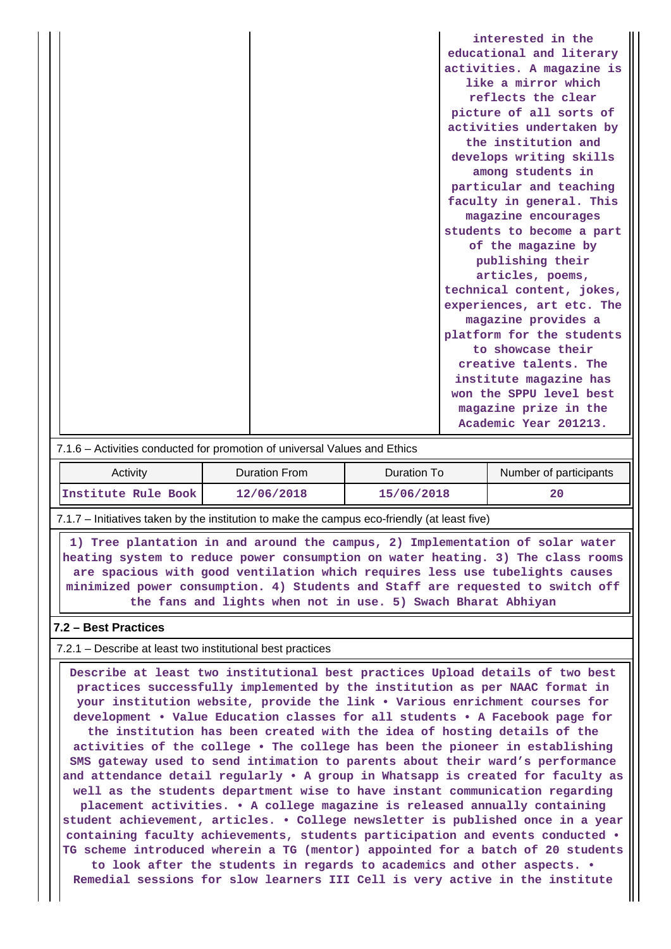|  | interested in the         |
|--|---------------------------|
|  | educational and literary  |
|  | activities. A magazine is |
|  | like a mirror which       |
|  | reflects the clear        |
|  | picture of all sorts of   |
|  | activities undertaken by  |
|  | the institution and       |
|  | develops writing skills   |
|  | among students in         |
|  | particular and teaching   |
|  | faculty in general. This  |
|  | magazine encourages       |
|  | students to become a part |
|  | of the magazine by        |
|  | publishing their          |
|  | articles, poems,          |
|  | technical content, jokes, |
|  | experiences, art etc. The |
|  | magazine provides a       |
|  | platform for the students |
|  | to showcase their         |
|  | creative talents. The     |
|  | institute magazine has    |
|  | won the SPPU level best   |
|  | magazine prize in the     |
|  | Academic Year 201213.     |

#### 7.1.6 – Activities conducted for promotion of universal Values and Ethics

| Activity            | Duration From | Duration To | Number of participants |
|---------------------|---------------|-------------|------------------------|
| Institute Rule Book | 12/06/2018    | 15/06/2018  | 20                     |

7.1.7 – Initiatives taken by the institution to make the campus eco-friendly (at least five)

 **1) Tree plantation in and around the campus, 2) Implementation of solar water heating system to reduce power consumption on water heating. 3) The class rooms are spacious with good ventilation which requires less use tubelights causes minimized power consumption. 4) Students and Staff are requested to switch off the fans and lights when not in use. 5) Swach Bharat Abhiyan**

### **7.2 – Best Practices**

7.2.1 – Describe at least two institutional best practices

 **Describe at least two institutional best practices Upload details of two best practices successfully implemented by the institution as per NAAC format in your institution website, provide the link • Various enrichment courses for development • Value Education classes for all students • A Facebook page for the institution has been created with the idea of hosting details of the activities of the college • The college has been the pioneer in establishing SMS gateway used to send intimation to parents about their ward's performance and attendance detail regularly • A group in Whatsapp is created for faculty as well as the students department wise to have instant communication regarding placement activities. • A college magazine is released annually containing student achievement, articles. • College newsletter is published once in a year containing faculty achievements, students participation and events conducted • TG scheme introduced wherein a TG (mentor) appointed for a batch of 20 students to look after the students in regards to academics and other aspects. •**

**Remedial sessions for slow learners III Cell is very active in the institute**